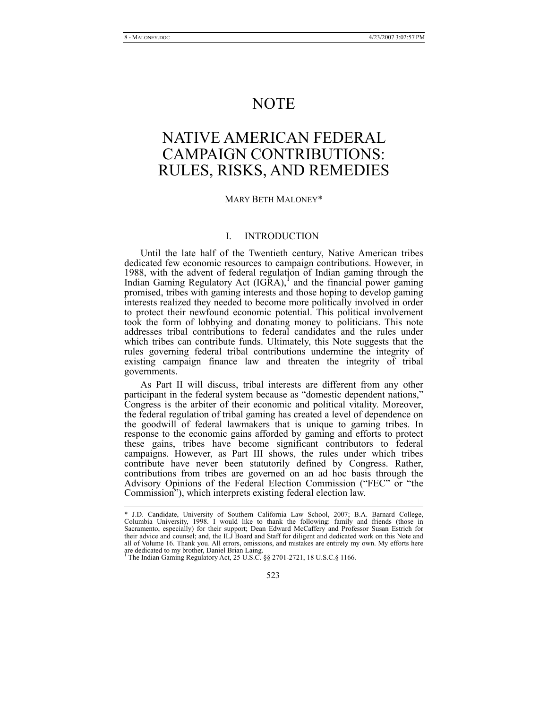# NOTE

# NATIVE AMERICAN FEDERAL CAMPAIGN CONTRIBUTIONS: RULES, RISKS, AND REMEDIES

## MARY BETH MALONEY\*

# I. INTRODUCTION

Until the late half of the Twentieth century, Native American tribes dedicated few economic resources to campaign contributions. However, in 1988, with the advent of federal regulation of Indian gaming through the Indian Gaming Regulatory Act  $(IGRA)$ ,<sup>1</sup> and the financial power gaming promised, tribes with gaming interests and those hoping to develop gaming interests realized they needed to become more politically involved in order to protect their newfound economic potential. This political involvement took the form of lobbying and donating money to politicians. This note addresses tribal contributions to federal candidates and the rules under which tribes can contribute funds. Ultimately, this Note suggests that the rules governing federal tribal contributions undermine the integrity of existing campaign finance law and threaten the integrity of tribal governments.

As Part II will discuss, tribal interests are different from any other participant in the federal system because as "domestic dependent nations," Congress is the arbiter of their economic and political vitality. Moreover, the federal regulation of tribal gaming has created a level of dependence on the goodwill of federal lawmakers that is unique to gaming tribes. In response to the economic gains afforded by gaming and efforts to protect these gains, tribes have become significant contributors to federal campaigns. However, as Part III shows, the rules under which tribes contribute have never been statutorily defined by Congress. Rather, contributions from tribes are governed on an ad hoc basis through the Advisory Opinions of the Federal Election Commission ("FEC" or "the Commission"), which interprets existing federal election law.

 <sup>\*</sup> J.D. Candidate, University of Southern California Law School, 2007; B.A. Barnard College, Columbia University, 1998. I would like to thank the following: family and friends (those in Sacramento, especially) for their support; Dean Edward McCaffery and Professor Susan Estrich for their advice and counsel; and, the ILJ Board and Staff for diligent and dedicated work on this Note and all of Volume 16. Thank you. All errors, omissions, and mistakes are entirely my own. My efforts here

are dedicated to my brother, Daniel Brian Laing. 1 The Indian Gaming Regulatory Act, 25 U.S.C. §§ 2701-2721, 18 U.S.C.§ 1166.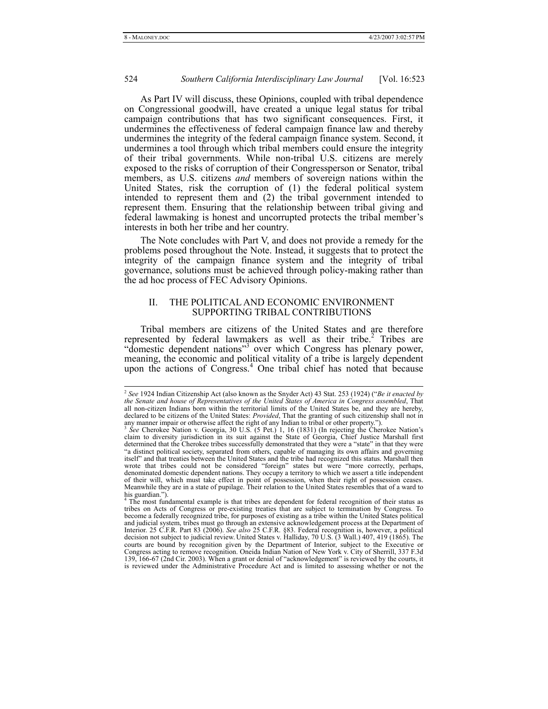As Part IV will discuss, these Opinions, coupled with tribal dependence on Congressional goodwill, have created a unique legal status for tribal campaign contributions that has two significant consequences. First, it undermines the effectiveness of federal campaign finance law and thereby undermines the integrity of the federal campaign finance system. Second, it undermines a tool through which tribal members could ensure the integrity of their tribal governments. While non-tribal U.S. citizens are merely exposed to the risks of corruption of their Congressperson or Senator, tribal members, as U.S. citizens *and* members of sovereign nations within the United States, risk the corruption of (1) the federal political system intended to represent them and (2) the tribal government intended to represent them. Ensuring that the relationship between tribal giving and federal lawmaking is honest and uncorrupted protects the tribal member's interests in both her tribe and her country.

The Note concludes with Part V, and does not provide a remedy for the problems posed throughout the Note. Instead, it suggests that to protect the integrity of the campaign finance system and the integrity of tribal governance, solutions must be achieved through policy-making rather than the ad hoc process of FEC Advisory Opinions.

# II. THE POLITICAL AND ECONOMIC ENVIRONMENT SUPPORTING TRIBAL CONTRIBUTIONS

Tribal members are citizens of the United States and are therefore represented by federal lawmakers as well as their tribe.<sup>2</sup> Tribes are "domestic dependent nations"3 over which Congress has plenary power, meaning, the economic and political vitality of a tribe is largely dependent upon the actions of Congress.<sup>4</sup> One tribal chief has noted that because

 <sup>2</sup> *See* 1924 Indian Citizenship Act (also known as the Snyder Act) 43 Stat. 253 (1924) ("*Be it enacted by the Senate and house of Representatives of the United States of America in Congress assembled*, That all non-citizen Indians born within the territorial limits of the United States be, and they are hereby, declared to be citizens of the United States: *Provided*, That the granting of such citizenship shall not in any manner impair or otherwise affect the right of any Indian to tribal or other property.").<br><sup>3</sup> *See* Cherokee Nation v. Georgia, 30 U.S. (5 Pet.) 1, 16 (1831) (In rejecting the Cherokee Nation's

claim to diversity jurisdiction in its suit against the State of Georgia, Chief Justice Marshall first determined that the Cherokee tribes successfully demonstrated that they were a "state" in that they were "a distinct political society, separated from others, capable of managing its own affairs and governing itself" and that treaties between the United States and the tribe had recognized this status. Marshall then wrote that tribes could not be considered "foreign" states but were "more correctly, perhaps, denominated domestic dependent nations. They occupy a territory to which we assert a title independent of their will, which must take effect in point of possession, when their right of possession ceases. Meanwhile they are in a state of pupilage. Their relation to the United States resembles that of a ward to his guardian.").

<sup>4</sup> The most fundamental example is that tribes are dependent for federal recognition of their status as tribes on Acts of Congress or pre-existing treaties that are subject to termination by Congress. To become a federally recognized tribe, for purposes of existing as a tribe within the United States political and judicial system, tribes must go through an extensive acknowledgement process at the Department of Interior. 25 C.F.R. Part 83 (2006). *See also* 25 C.F.R. §83. Federal recognition is, however, a political decision not subject to judicial review. United States v. Halliday, 70 U.S. (3 Wall.) 407, 419 (1865). The courts are bound by recognition given by the Department of Interior, subject to the Executive or Congress acting to remove recognition. Oneida Indian Nation of New York v. City of Sherrill, 337 F.3d 139, 166-67 (2nd Cir. 2003). When a grant or denial of "acknowledgement" is reviewed by the courts, it is reviewed under the Administrative Procedure Act and is limited to assessing whether or not the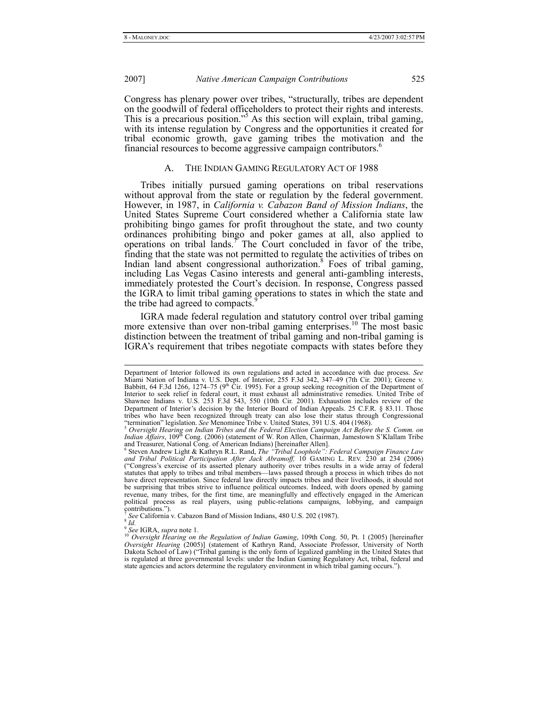Congress has plenary power over tribes, "structurally, tribes are dependent on the goodwill of federal officeholders to protect their rights and interests. This is a precarious position."<sup>5</sup> As this section will explain, tribal gaming, with its intense regulation by Congress and the opportunities it created for tribal economic growth, gave gaming tribes the motivation and the financial resources to become aggressive campaign contributors.<sup>6</sup>

# A. THE INDIAN GAMING REGULATORY ACT OF 1988

Tribes initially pursued gaming operations on tribal reservations without approval from the state or regulation by the federal government. However, in 1987, in *California v. Cabazon Band of Mission Indians*, the United States Supreme Court considered whether a California state law prohibiting bingo games for profit throughout the state, and two county ordinances prohibiting bingo and poker games at all, also applied to operations on tribal lands.<sup> $\tau$ </sup> The Court concluded in favor of the tribe, finding that the state was not permitted to regulate the activities of tribes on Indian land absent congressional authorization.<sup>8</sup> Foes of tribal gaming, including Las Vegas Casino interests and general anti-gambling interests, immediately protested the Court's decision. In response, Congress passed the IGRA to limit tribal gaming operations to states in which the state and the tribe had agreed to compacts.

IGRA made federal regulation and statutory control over tribal gaming more extensive than over non-tribal gaming enterprises.<sup>10</sup> The most basic distinction between the treatment of tribal gaming and non-tribal gaming is IGRA's requirement that tribes negotiate compacts with states before they

Department of Interior followed its own regulations and acted in accordance with due process. See Miami Nation of Indiana v. U.S. Dept. of Interior, 255 F.3d 342, 347–49 (7th Cir. 2001); Greene v. Babbitt, 64 F.3d 1266, 12 Interior to seek relief in federal court, it must exhaust all administrative remedies. United Tribe of Shawnee Indians v. U.S. 253 F.3d 543, 550 (10th Cir. 2001). Exhaustion includes review of the Department of Interior's decision by the Interior Board of Indian Appeals. 25 C.F.R. § 83.11. Those

tribes who have been recognized through treaty can also lose their status through Congressional<br>"termination" legislation. See Menominee Tribe v. United States, 391 U.S. 404 (1968).<br><sup>5</sup> Oversight Hearing on Indian Tribes a and Treasurer, National Cong. of American Indians) [hereinafter Allen].<br><sup>6</sup> Steven Andrew Light & Kathryn R.L. Rand, *The "Tribal Loophole": Federal Campaign Finance Law* 

and Tribal Political Participation After Jack Abramoff, 10 GAMING L. REV. 230 at 234 (2006) ("Congress's exercise of its asserted plenary authority over tribes results in a wide array of federal statutes that apply to tribes and tribal members—laws passed through a process in which tribes do not have direct representation. Since federal law directly impacts tribes and their livelihoods, it should not be surprising that tribes strive to influence political outcomes. Indeed, with doors opened by gaming revenue, many tribes, for the first time, are meaningfully and effectively engaged in the American revenue, many tribes, for the first time, are meaningfully and effectively engaged in the American political process as real players, using public-relations campaigns, lobbying, and campaign contributions.").

<sup>7</sup> *See* California v. Cabazon Band of Mission Indians, 480 U.S. 202 (1987). 8 *Id.*

<sup>&</sup>lt;sup>9</sup> See IGRA, supra note 1.<br><sup>10</sup> Oversight Hearing on the Regulation of Indian Gaming, 109th Cong. 50, Pt. 1 (2005) [hereinafter<br>Oversight Hearing (2005)] (statement of Kathryn Rand, Associate Professor, University of Nort Oversight Hearing (2005)] (statement of Kathryn Rand, Associate Professor, University of North Dakota School of Law) ("Tribal gaming is the only form of legalized gambling in the United States that is regulated at three governmental levels: under the Indian Gaming Regulatory Act, tribal, federal and state agencies and actors determine the regulatory environment in which tribal gaming occurs.").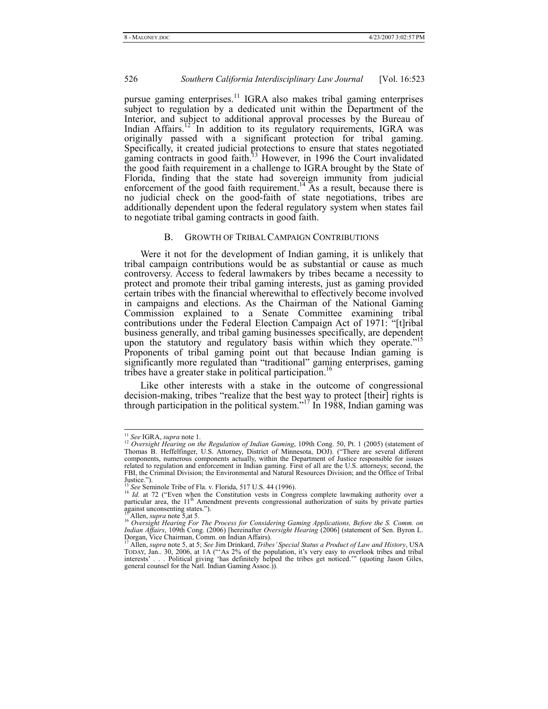pursue gaming enterprises.<sup>11</sup> IGRA also makes tribal gaming enterprises subject to regulation by a dedicated unit within the Department of the Interior, and subject to additional approval processes by the Bureau of Indian  $A$ ffairs.<sup>12</sup> In addition to its regulatory requirements, IGRA was originally passed with a significant protection for tribal gaming. Specifically, it created judicial protections to ensure that states negotiated gaming contracts in good faith.<sup>13</sup> However, in 1996 the Court invalidated the good faith requirement in a challenge to IGRA brought by the State of Florida, finding that the state had sovereign immunity from judicial enforcement of the good faith requirement.<sup>14</sup> As a result, because there is no judicial check on the good-faith of state negotiations, tribes are additionally dependent upon the federal regulatory system when states fail to negotiate tribal gaming contracts in good faith.

## B. GROWTH OF TRIBAL CAMPAIGN CONTRIBUTIONS

Were it not for the development of Indian gaming, it is unlikely that tribal campaign contributions would be as substantial or cause as much controversy. Access to federal lawmakers by tribes became a necessity to protect and promote their tribal gaming interests, just as gaming provided certain tribes with the financial wherewithal to effectively become involved in campaigns and elections. As the Chairman of the National Gaming Commission explained to a Senate Committee examining tribal contributions under the Federal Election Campaign Act of 1971: "[t]ribal business generally, and tribal gaming businesses specifically, are dependent upon the statutory and regulatory basis within which they operate."<sup>15</sup> Proponents of tribal gaming point out that because Indian gaming is significantly more regulated than "traditional" gaming enterprises, gaming tribes have a greater stake in political participation.<sup>16</sup>

Like other interests with a stake in the outcome of congressional decision-making, tribes "realize that the best way to protect [their] rights is through participation in the political system."<sup>17</sup> In 1988, Indian gaming was

<sup>&</sup>lt;sup>11</sup> *See* IGRA, *supra* note 1.<br><sup>12</sup> *Oversight Hearing on the Regulation of Indian Gaming*, 109th Cong. 50, Pt. 1 (2005) (statement of Thomas B. Heffelfinger, U.S. Attorney, District of Minnesota, DOJ). ("There are several different components, numerous components actually, within the Department of Justice responsible for issues related to regulation and enforcement in Indian gaming. First of all are the U.S. attorneys; second, the FBI, the Criminal Division; the Environmental and Natural Resources Division; and the Office of Tribal Justice.").<br><sup>13</sup> See Seminole Tribe of Fla. v. Florida, 517 U.S. 44 (1996).

<sup>&</sup>lt;sup>14</sup> *Id.* at 72 ("Even when the Constitution vests in Congress complete lawmaking authority over a particular area, the 11<sup>th</sup> Amendment prevents congressional authorization of suits by private parties against unconsenting states.").

<sup>&</sup>lt;sup>15</sup> Allen, supra note 5, at 5.<br><sup>16</sup> Oversight Hearing For The Process for Considering Gaming Applications, Before the S. Comm. on<br>Indian Affairs, 109th Cong. (2006) [hereinafter Oversight Hearing (2006] (statement of Sen. Dorgan, Vice Chairman, Comm. on Indian Affairs).

<sup>&</sup>lt;sup>17</sup> Allen, *supra* note 5, at 5; *See Jim Drinkard, Tribes' Special Status a Product of Law and History*, USA TODAY, Jan.. 30, 2006, at 1A ("'As 2% of the population, it's very easy to overlook tribes and tribal interests' . . . Political giving 'has definitely helped the tribes get noticed.'" (quoting Jason Giles, general counsel for the Natl. Indian Gaming Assoc.)).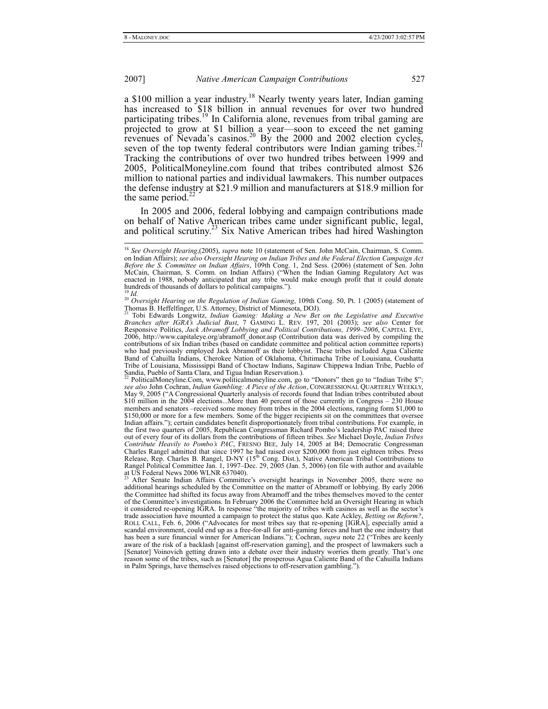a \$100 million a year industry.<sup>18</sup> Nearly twenty years later, Indian gaming has increased to \$18 billion in annual revenues for over two hundred participating tribes.<sup>19</sup> In California alone, revenues from tribal gaming are projected to grow at \$1 billion a year—soon to exceed the net gaming revenues of Nevada's casinos.<sup>20</sup> By the 2000 and 2002 election cycles, seven of the top twenty federal contributors were Indian gaming tribes.<sup>2</sup> Tracking the contributions of over two hundred tribes between 1999 and 2005, PoliticalMoneyline.com found that tribes contributed almost \$26 million to national parties and individual lawmakers. This number outpaces the defense industry at \$21.9 million and manufacturers at \$18.9 million for the same period. $<sup>2</sup>$ </sup>

In 2005 and 2006, federal lobbying and campaign contributions made on behalf of Native American tribes came under significant public, legal, and political scrutiny.<sup>23</sup> Six Native American tribes had hired Washington

 <sup>18</sup> *See Oversight Hearing*,(2005), *supra* note 10 (statement of Sen. John McCain, Chairman, S. Comm. on Indian Affairs); *see also Oversight Hearing on Indian Tribes and the Federal Election Campaign Act Before the S. Committee on Indian Affairs*, 109th Cong. 1, 2nd Sess. (2006) (statement of Sen. John McCain, Chairman, S. Comm. on Indian Affairs) ("When the Indian Gaming Regulatory Act was enacted in 1988, nobody anticipated that any tribe would make enough profit that it could donate hundreds of thousands of dollars to political campaigns.").

<sup>&</sup>lt;sup>19</sup> *Id.* 20 *Oversight Hearing on the Regulation of Indian Gaming*, 109th Cong. 50, Pt. 1 (2005) (statement of 2005) Thomas B. Heffelfinger, U.S. Attorney, District of Minnesota, DOJ).<br><sup>21</sup> Tobi Edwards Longwitz, *Indian Gaming: Making a New Bet on the Legislative and Executive* 

Branches after IGRA's Judicial Bust, 7 GAMING L. REV. 197, 201 (2003); see also Center for<br>Responsive Politics, Jack Abramoff Lobbying and Political Contributions, 1999–2006, CAPITAL EYE,<br>2006, http://www.capitaleye.org/ab contributions of six Indian tribes (based on candidate committee and political action committee reports) who had previously employed Jack Abramoff as their lobbyist. These tribes included Agua Caliente Band of Cahuilla Indians, Cherokee Nation of Oklahoma, Chitimacha Tribe of Louisiana, Coushatta Tribe of Louisiana, Mississippi Band of Choctaw Indians, Saginaw Chippewa Indian Tribe, Pueblo of Sandia, Pueblo of Santa Clara, and Tigua Indian Reservation.)

PoliticalMoneyline.Com, www.politicalmoneyline.com, go to "Donors" then go to "Indian Tribe \$"; *see also* John Cochran, *Indian Gambling: A Piece of the Action*, CONGRESSIONAL QUARTERLY WEEKLY, May 9, 2005 ("A Congressional Quarterly analysis of records found that Indian tribes contributed about \$10 million in the 2004 elections...More than 40 percent of those currently in Congress – 230 House members and senators –received some money from tribes in the 2004 elections, ranging form \$1,000 to \$150,000 or more for a few members. Some of the bigger recipients sit on the committees that oversee Indian affairs."); certain candidates benefit disproportionately from tribal contributions. For example, in the first two quarters of 2005, Republican Congressman Richard Pombo's leadership PAC raised three out of every four of its dollars from the contributions of fifteen tribes. *See* Michael Doyle, *Indian Tribes Contribute Heavily to Pombo's PAC*, FRESNO BEE, July 14, 2005 at B4; Democratic Congressman Charles Rangel admitted that since 1997 he had raised over \$200,000 from just eighteen tribes. Press Release, Rep. Charles B. Rangel, D-NY (15<sup>th</sup> Cong. Dist.), Native American Tribal Contributions to Rangel Political Committee Jan. 1, 1997–Dec. 29, 2005 (Jan. 5, 2006) (on file with author and available at US Federal News 2006 WLNR 637040).

<sup>&</sup>lt;sup>23</sup> After Senate Indian Affairs Committee's oversight hearings in November 2005, there were no additional hearings scheduled by the Committee on the matter of Abramoff or lobbying. By early 2006 the Committee had shifted its focus away from Abramoff and the tribes themselves moved to the center of the Committee's investigations. In February 2006 the Committee held an Oversight Hearing in which it considered re-opening IGRA. In response "the majority of tribes with casinos as well as the sector's trade association have mounted a campaign to protect the status quo. Kate Ackley, *Betting on Reform?*, ROLL CALL, Feb. 6, 2006 ("Advocates for most tribes say that re-opening [IGRA], especially amid a scandal environment, could end up as a free-for-all for anti-gaming forces and hurt the one industry that has been a sure financial winner for American Indians."); Cochran, *supra* note 22 ("Tribes are keenly aware of the risk of a backlash [against off-reservation gaming], and the prospect of lawmakers such a [Senator] Voinovich getting drawn into a debate over their industry worries them greatly. That's one reason some of the tribes, such as [Senator] the prosperous Agua Caliente Band of the Cahuilla Indians in Palm Springs, have themselves raised objections to off-reservation gambling.")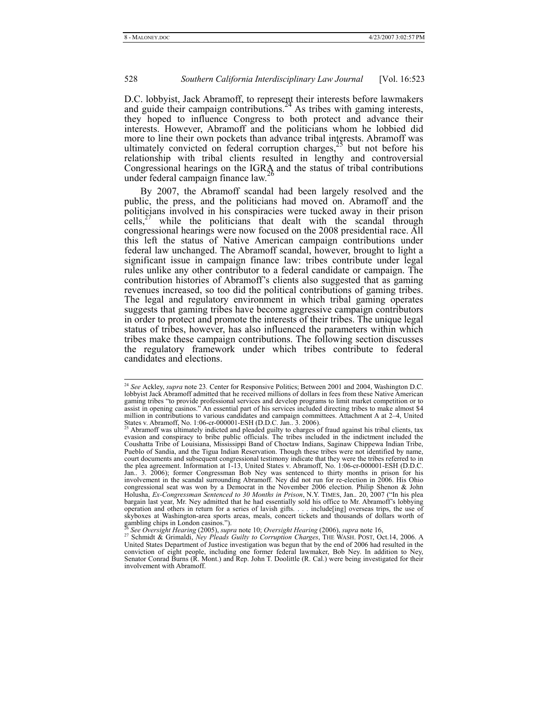D.C. lobbyist, Jack Abramoff, to represent their interests before lawmakers and guide their campaign contributions.<sup>24</sup> As tribes with gaming interests, they hoped to influence Congress to both protect and advance their interests. However, Abramoff and the politicians whom he lobbied did more to line their own pockets than advance tribal interests. Abramoff was ultimately convicted on federal corruption charges,<sup> $25$ </sup> but not before his relationship with tribal clients resulted in lengthy and controversial Congressional hearings on the IGRA and the status of tribal contributions under federal campaign finance law.<sup>26</sup>

By 2007, the Abramoff scandal had been largely resolved and the public, the press, and the politicians had moved on. Abramoff and the politicians involved in his conspiracies were tucked away in their prison cells, $^{27}$  while the politicians that dealt with the scandal through congressional hearings were now focused on the 2008 presidential race. All this left the status of Native American campaign contributions under federal law unchanged. The Abramoff scandal, however, brought to light a significant issue in campaign finance law: tribes contribute under legal rules unlike any other contributor to a federal candidate or campaign. The contribution histories of Abramoff's clients also suggested that as gaming revenues increased, so too did the political contributions of gaming tribes. The legal and regulatory environment in which tribal gaming operates suggests that gaming tribes have become aggressive campaign contributors in order to protect and promote the interests of their tribes. The unique legal status of tribes, however, has also influenced the parameters within which tribes make these campaign contributions. The following section discusses the regulatory framework under which tribes contribute to federal candidates and elections.

 <sup>24</sup> *See* Ackley, *supra* note 23*.* Center for Responsive Politics; Between 2001 and 2004, Washington D.C. lobbyist Jack Abramoff admitted that he received millions of dollars in fees from these Native American gaming tribes "to provide professional services and develop programs to limit market competition or to assist in opening casinos." An essential part of his services included directing tribes to make almost \$4 million in contributions to various candidates and campaign committees. Attachment A at 2–4, United States v. Abramoff, No. 1:06-cr-000001-ESH (D.D.C. Jan.. 3. 2006).

<sup>25</sup> Abramoff was ultimately indicted and pleaded guilty to charges of fraud against his tribal clients, tax evasion and conspiracy to bribe public officials. The tribes included in the indictment included the Coushatta Tribe of Louisiana, Mississippi Band of Choctaw Indians, Saginaw Chippewa Indian Tribe, Pueblo of Sandia, and the Tigua Indian Reservation. Though these tribes were not identified by name, court documents and subsequent congressional testimony indicate that they were the tribes referred to in the plea agreement. Information at 1-13, United States v. Abramoff, No. 1:06-cr-000001-ESH (D.D.C. Jan.. 3. 2006); former Congressman Bob Ney was sentenced to thirty months in prison for his involvement in the scandal surrounding Abramoff. Ney did not run for re-election in 2006. His Ohio congressional seat was won by a Democrat in the November 2006 election. Philip Shenon & John Holusha, *Ex-Congressman Sentenced to 30 Months in Prison*, N.Y. TIMES, Jan.. 20, 2007 ("In his plea bargain last year, Mr. Ney admitted that he had essentially sold his office to Mr. Abramoff's lobbying operation and others in return for a series of lavish gifts. . . . include[ing] overseas trips, the use of skyboxes at Washington-area sports areas, meals, concert tickets and thousands of dollars worth of gambling chips in London casinos.").

<sup>26</sup> *See Oversight Hearing* (2005), *supra* note 10; *Oversight Hearing* (2006), *supra* note 16, 27 Schmidt & Grimaldi, *Ney Pleads Guilty to Corruption Charges*, THE WASH. POST, Oct.14, 2006. A United States Department of Justice investigation was begun that by the end of 2006 had resulted in the conviction of eight people, including one former federal lawmaker, Bob Ney. In addition to Ney, Senator Conrad Burns (R. Mont.) and Rep. John T. Doolittle (R. Cal.) were being investigated for their involvement with Abramoff.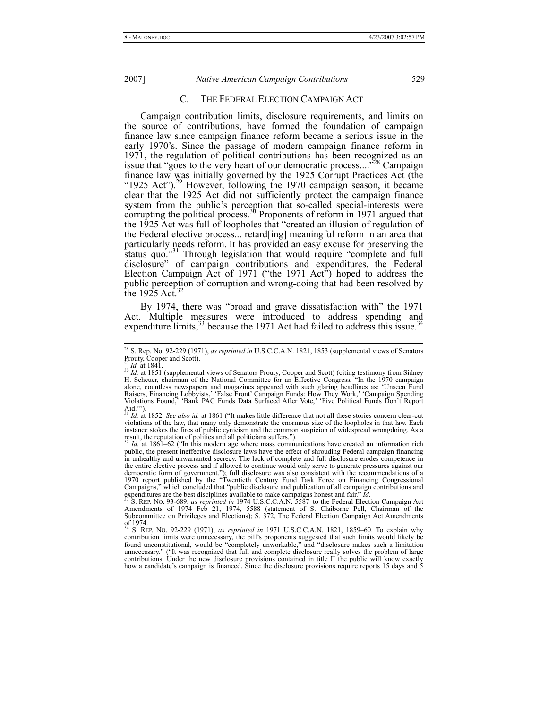C. THE FEDERAL ELECTION CAMPAIGN ACT

Campaign contribution limits, disclosure requirements, and limits on the source of contributions, have formed the foundation of campaign finance law since campaign finance reform became a serious issue in the early 1970's. Since the passage of modern campaign finance reform in 1971, the regulation of political contributions has been recognized as an issue that "goes to the very heart of our democratic process...."<sup>28</sup> Campaign finance law was initially governed by the 1925 Corrupt Practices Act (the "1925 Act").<sup>29</sup> However, following the 1970 campaign season, it became clear that the 1925 Act did not sufficiently protect the campaign finance system from the public's perception that so-called special-interests were corrupting the political process.<sup>36</sup> Proponents of reform in 1971 argued that the 1925 Act was full of loopholes that "created an illusion of regulation of the Federal elective process... retard[ing] meaningful reform in an area that particularly needs reform. It has provided an easy excuse for preserving the status quo."<sup>31</sup> Through legislation that would require "complete and full disclosure" of campaign contributions and expenditures, the Federal Election Campaign Act of 1971 ("the 1971 Act") hoped to address the public perception of corruption and wrong-doing that had been resolved by the 1925 Act. $\frac{3}{2}$ 

By 1974, there was "broad and grave dissatisfaction with" the 1971 Act. Multiple measures were introduced to address spending and expenditure limits,<sup>33</sup> because the 1971 Act had failed to address this issue.<sup>3</sup>

 <sup>28</sup> S. Rep. No. 92-229 (1971), *as reprinted in* U.S.C.C.A.N. 1821, 1853 (supplemental views of Senators Prouty, Cooper and Scott).

<sup>&</sup>lt;sup>29</sup> *Id.* at 1841. 30 *Id.* at 1841. Supplemental views of Senators Prouty, Cooper and Scott) (citing testimony from Sidney H. Scheuer, chairman of the National Committee for an Effective Congress, "In the 1970 campaign alone, countless newspapers and magazines appeared with such glaring headlines as: 'Unseen Fund Raisers, Financing Lobbyists,' 'False Front' Campaign Funds: How They Work,' 'Campaign Spending Violations Found,' 'Bank PAC Funds Data Surfaced After Vote,' 'Five Political Funds Don't Report Aid.'"). <sup>31</sup> *Id.* at 1852. *See also id.* at 1861 ("It makes little difference that not all these stories concern clear-cut

violations of the law, that many only demonstrate the enormous size of the loopholes in that law. Each instance stokes the fires of public cynicism and the common suspicion of widespread wrongdoing. As a result, the reputation of politics and all politicians suffers.").

Id. at 1861–62 ("In this modern age where mass communications have created an information rich public, the present ineffective disclosure laws have the effect of shrouding Federal campaign financing in unhealthy and unwarranted secrecy. The lack of complete and full disclosure erodes competence in the entire elective process and if allowed to continue would only serve to generate pressures against our democratic form of government."); full disclosure was also consistent with the recommendations of a<br>1970 report published by the "Twentieth Century Fund Task Force on Financing Congressional<br>Campaigns," which concluded tha

expenditures are the best disciplines available to make campaigns honest and fair." *Id.*<br><sup>33</sup> S. REP. NO. 93-689, *as reprinted in* 1974 U.S.C.C.A.N. 5587 to the Federal Election Campaign Act Amendments of 1974 Feb 21, 19 Subcommittee on Privileges and Elections); S. 372, The Federal Election Campaign Act Amendments of 1974. 34 S. REP. NO. 92-229 (1971), *as reprinted in* 1971 U.S.C.C.A.N. 1821, 1859–60. To explain why

contribution limits were unnecessary, the bill's proponents suggested that such limits would likely be found unconstitutional, would be "completely unworkable," and "disclosure makes such a limitation unnecessary." ("It was recognized that full and complete disclosure really solves the problem of large contributions. Under the new disclosure provisions contained in title II the public will know exactly how a candidate's campaign is financed. Since the disclosure provisions require reports 15 days and 5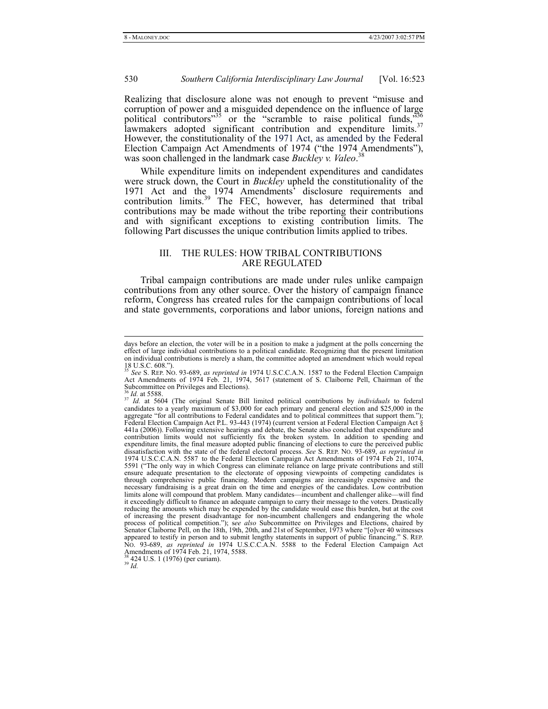Realizing that disclosure alone was not enough to prevent "misuse and corruption of power and a misguided dependence on the influence of large political contributors<sup>35</sup> or the "scramble to raise political funds,  $\frac{356}{100}$ lawmakers adopted significant contribution and expenditure limits.<sup>37</sup> However, the constitutionality of the 1971 Act, as amended by the Federal Election Campaign Act Amendments of 1974 ("the 1974 Amendments"), was soon challenged in the landmark case *Buckley v. Valeo*. 38

While expenditure limits on independent expenditures and candidates were struck down, the Court in *Buckley* upheld the constitutionality of the 1971 Act and the 1974 Amendments<sup>3</sup> disclosure requirements and contribution limits.<sup>39</sup> The FEC, however, has determined that tribal contributions may be made without the tribe reporting their contributions and with significant exceptions to existing contribution limits. The following Part discusses the unique contribution limits applied to tribes.

# III. THE RULES: HOW TRIBAL CONTRIBUTIONS ARE REGULATED

Tribal campaign contributions are made under rules unlike campaign contributions from any other source. Over the history of campaign finance reform, Congress has created rules for the campaign contributions of local and state governments, corporations and labor unions, foreign nations and

days before an election, the voter will be in a position to make a judgment at the polls concerning the effect of large individual contributions to a political candidate. Recognizing that the present limitation on individual contributions is merely a sham, the committee adopted an amendment which would repeal  $18 \text{ U.S.C. } 608."$ 

<sup>&</sup>lt;sup>35</sup> See S. REP. No. 93-689, *as reprinted in* 1974 U.S.C.C.A.N. 1587 to the Federal Election Campaign Act Amendments of 1974 Feb. 21, 1974, 5617 (statement of S. Claiborne Pell, Chairman of the Subcommittee on Privileges and Elections).

<sup>&</sup>lt;sup>36</sup> *Id.* at 5588. **If 12.** at 5604 (The original Senate Bill limited political contributions by *individuals* to federal candidates to a yearly maximum of \$3,000 for each primary and general election and \$25,000 in the aggregate "for all contributions to Federal candidates and to political committees that support them."); Federal Election Campaign Act P.L. 93-443 (1974) (current version at Federal Election Campaign Act § 441a (2006)). Following extensive hearings and debate, the Senate also concluded that expenditure and contribution limits would not sufficiently fix the broken system. In addition to spending and expenditure limits, the final measure adopted public financing of elections to cure the perceived public dissatisfaction with the state of the federal electoral process. *See* S. REP. NO. 93-689, *as reprinted in* 1974 U.S.C.C.A.N. 5587 to the Federal Election Campaign Act Amendments of 1974 Feb 21, 1074, 5591 ("The only way in which Congress can eliminate reliance on large private contributions and still ensure adequate presentation to the electorate of opposing viewpoints of competing candidates is through comprehensive public financing. Modern campaigns are increasingly expensive and the necessary fundraising is a great drain on the time and energies of the candidates. Low contribution limits alone will compound that problem. Many candidates—incumbent and challenger alike—will find it exceedingly difficult to finance an adequate campaign to carry their message to the voters. Drastically reducing the amounts which may be expended by the candidate would ease this burden, but at the cost of increasing the present disadvantage for non-incumbent challengers and endangering the whole process of political competition."); s*ee also* Subcommittee on Privileges and Elections, chaired by Senator Claiborne Pell, on the 18th, 19th, 20th, and 21st of September, 1973 where "[o]ver 40 witnesses appeared to testify in person and to submit lengthy statements in support of public financing." S. REP. No. 93-689, *as reprinted in* 1974 U.S.C.C.A.N. 5588 to the Federal Election Campaign Act Amendments of 1974 Feb. 21, 1974, 5588.

<sup>38 424</sup> U.S. 1 (1976) (per curiam). 39 *Id.*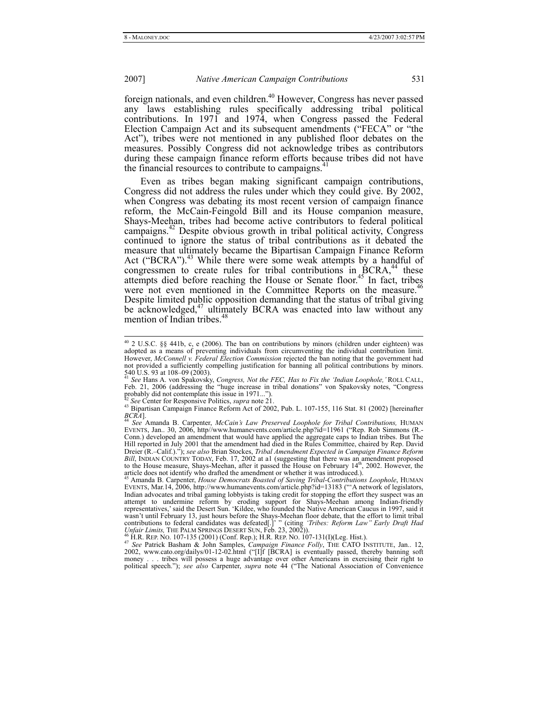foreign nationals, and even children.<sup>40</sup> However, Congress has never passed any laws establishing rules specifically addressing tribal political contributions. In 1971 and 1974, when Congress passed the Federal Election Campaign Act and its subsequent amendments ("FECA" or "the Act"), tribes were not mentioned in any published floor debates on the measures. Possibly Congress did not acknowledge tribes as contributors during these campaign finance reform efforts because tribes did not have the financial resources to contribute to campaigns.<sup>4</sup>

Even as tribes began making significant campaign contributions, Congress did not address the rules under which they could give. By 2002, when Congress was debating its most recent version of campaign finance reform, the McCain-Feingold Bill and its House companion measure, Shays-Meehan, tribes had become active contributors to federal political campaigns.<sup>42</sup> Despite obvious growth in tribal political activity, Congress continued to ignore the status of tribal contributions as it debated the measure that ultimately became the Bipartisan Campaign Finance Reform Act ("BCRA").<sup>43</sup> While there were some weak attempts by a handful of congressmen to create rules for tribal contributions in  $\overline{BCRA}$ ,<sup>44</sup> these attempts died before reaching the House or Senate floor.<sup>45</sup> In fact, tribes were not even mentioned in the Committee Reports on the measure.<sup>46</sup> Despite limited public opposition demanding that the status of tribal giving be acknowledged, $47$  ultimately BCRA was enacted into law without any mention of Indian tribes.<sup>48</sup>

 <sup>40 2</sup> U.S.C. §§ 441b, c, e (2006). The ban on contributions by minors (children under eighteen) was adopted as a means of preventing individuals from circumventing the individual contribution limit. However, *McConnell v. Federal Election Commission* rejected the ban noting that the government had not provided a sufficiently compelling justification for banning all political contributions by minors.

<sup>540</sup> U.S. 93 at 108–09 (2003). <sup>41</sup> *See* Hans A. von Spakovsky, *Congress, Not the FEC, Has to Fix the 'Indian Loophole,'* ROLL CALL, Feb. 21, 2006 (addressing the "huge increase in tribal donations" von Spakovsky notes, "Congress probably did not contemplate this issue in 1971...").<br><sup>42</sup> See Center for Responsive Politics, *supra* note 21.

<sup>42</sup> *See* Center for Responsive Politics, *supra* note 21. 43 Bipartisan Campaign Finance Reform Act of 2002, Pub. L. 107-155, 116 Stat. 81 (2002) [hereinafter *BCRA*]. 44 *See* Amanda B. Carpenter, *McCain's Law Preserved Loophole for Tribal Contributions,* HUMAN

EVENTS, Jan.. 30, 2006, http//www.humanevents.com/article.php?id=11961 ("Rep. Rob Simmons (R.-Conn.) developed an amendment that would have applied the aggregate caps to Indian tribes. But The Hill reported in July 2001 that the amendment had died in the Rules Committee, chaired by Rep. David Dreier (R.–Calif.)."); *see also* Brian Stockes, *Tribal Amendment Expected in Campaign Finance Reform*  Bill, INDIAN COUNTRY TODAY, Feb. 17, 2002 at a1 (suggesting that there was an amendment proposed to the House measure, Shays-Meehan, after it passed the House on February 14<sup>th</sup>, 2002. However, the article does not identify who drafted the amendment or whether it was introduced.). 45 Amanda B. Carpenter, *House Democrats Boasted of Saving Tribal-Contributions Loophole*, HUMAN

EVENTS, Mar.14, 2006, http://www.humanevents.com/article.php?id=13183 ("'A network of legislators, Indian advocates and tribal gaming lobbyists is taking credit for stopping the effort they suspect was an attempt to undermine reform by eroding support for Shays-Meehan among Indian-friendly representatives,' said the Desert Sun. 'Kildee, who founded the Native American Caucus in 1997, said it wasn't until February 13, just hours before the Shays-Meehan floor debate, that the effort to limit tribal contributions to federal candidates was defeated[.]' " (citing *'Tribes: Reform Law'' Early Draft Had Unfair Limits* 

<sup>&</sup>lt;sup>47</sup> See Patrick Basham & John Samples, *Campaign Finance Folly*, THE CATO INSTITUTE, Jan. 12, 2002, www.cato.org/dailys/01-12-02.html ("[I]f [BCRA] is eventually passed, thereby banning soft money . . . tribes will possess a huge advantage over other Americans in exercising their right to political speech."); *see also* Carpenter, *supra* note 44 ("The National Association of Convenience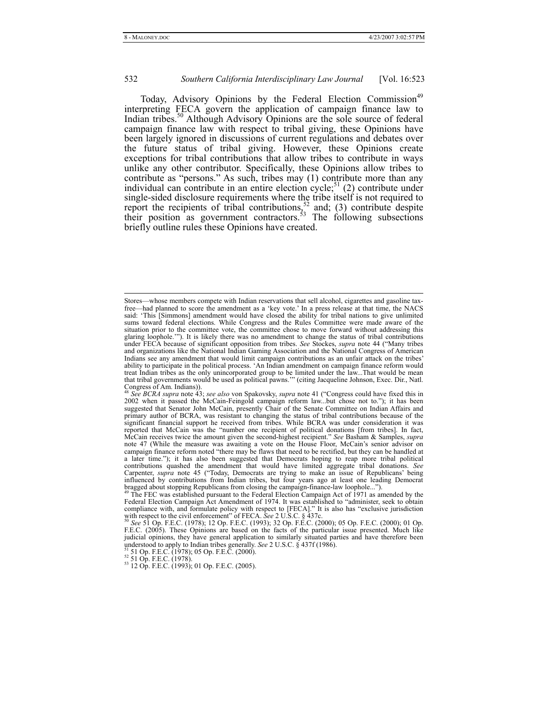Today, Advisory Opinions by the Federal Election Commission<sup>49</sup> interpreting FECA govern the application of campaign finance law to Indian tribes.<sup>50</sup> Although Advisory Opinions are the sole source of federal campaign finance law with respect to tribal giving, these Opinions have been largely ignored in discussions of current regulations and debates over the future status of tribal giving. However, these Opinions create exceptions for tribal contributions that allow tribes to contribute in ways unlike any other contributor. Specifically, these Opinions allow tribes to contribute as "persons." As such, tribes may (1) contribute more than any individual can contribute in an entire election cycle;<sup>51</sup> (2) contribute under single-sided disclosure requirements where the tribe itself is not required to report the recipients of tribal contributions,<sup>52</sup> and; (3) contribute despite their position as government contractors.<sup>33</sup> The following subsections briefly outline rules these Opinions have created.

Stores—whose members compete with Indian reservations that sell alcohol, cigarettes and gasoline taxfree—had planned to score the amendment as a 'key vote.' In a press release at that time, the NACS said: 'This [Simmons] amendment would have closed the ability for tribal nations to give unlimited sums toward federal elections. While Congress and the Rules Committee were made aware of the situation prior to the committee vote, the committee chose to move forward without addressing this glaring loophole.'"). It is likely there was no amendment to change the status of tribal contributions under FECA because of significant opposition from tribes. *See* Stockes, *supra* note 44 ("Many tribes and organizations like the National Indian Gaming Association and the National Congress of American Indians see any amendment that would limit campaign contributions as an unfair attack on the tribes' ability to participate in the political process. 'An Indian amendment on campaign finance reform would treat Indian tribes as the only unincorporated group to be limited under the law...That would be mean that tribal governments would be used as political pawns.'" (citing Jacqueline Johnson, Exec. Dir., Natl. Congress of Am. Indians)).

<sup>48</sup> *See BCRA supra* note 43; *see also* von Spakovsky, *supra* note 41 ("Congress could have fixed this in 2002 when it passed the McCain-Feingold campaign reform law...but chose not to."); it has been suggested that Senator John McCain, presently Chair of the Senate Committee on Indian Affairs and primary author of BCRA, was resistant to changing the status of tribal contributions because of the significant financial support he received from tribes. While BCRA was under consideration it was reported that McCain was the "number one recipient of political donations [from tribes]. In fact, McCain receives twice the amount given the second-highest recipient." *See* Basham & Samples, *supra* note 47 (While the measure was awaiting a vote on the House Floor, McCain's senior advisor on campaign finance reform noted "there may be flaws that need to be rectified, but they can be handled at a later time."); it has also been suggested that Democrats hoping to reap more tribal political contributions quashed the amendment that would have limited aggregate tribal donations. *See*  Carpenter, *supra* note 45 ("Today, Democrats are trying to make an issue of Republicans' being influenced by contributions from Indian tribes, but four years ago at least one leading Democrat<br>bragged about stopping Republicans from closing the campaign-finance-law loophole...").

Bragged about stopping republicans from closing the campaign-finance-law loop the The FEC was established pursuant to the Federal Election Campaign Act of 1971 as amended by the Federal Election Campaign Act Amendment of 1974. It was established to "administer, seek to obtain compliance with, and formulate policy with respect to [FECA]." It is also has "exclusive jurisdiction

with respect to the civil enforcement" of FECA. *See* 2 U.S.C. § 437c.<br><sup>50</sup> *See* 51 Op. F.E.C. (1978); 12 Op. F.E.C. (1993); 32 Op. F.E.C. (2000); 05 Op. F.E.C. (2000); 01 Op.<br>F.E.C. (2005). These Opinions are based on t judicial opinions, they have general application to similarly situated parties and have therefore been understood to apply to Indian tribes generally. *See* 2 U.S.C. § 437f (1986).<br><sup>51</sup> 51 Op. F.E.C. (1978); 05 Op. F.E.C. (2000).<br><sup>52</sup> 51 Op. F.E.C. (1978).<br><sup>52</sup> 51 Op. F.E.C. (1978).<br><sup>53</sup> 12 Op. F.E.C. (1993); 01 Op. F.E.C.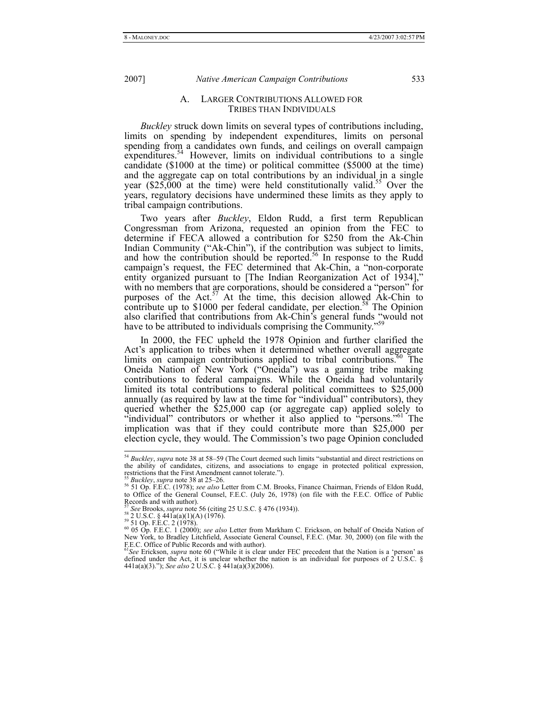#### A. LARGER CONTRIBUTIONS ALLOWED FOR TRIBES THAN INDIVIDUALS

*Buckley* struck down limits on several types of contributions including, limits on spending by independent expenditures, limits on personal spending from a candidates own funds, and ceilings on overall campaign expenditures.<sup>54</sup> However, limits on individual contributions to a single candidate (\$1000 at the time) or political committee (\$5000 at the time) and the aggregate cap on total contributions by an individual in a single year  $(\$25,000$  at the time) were held constitutionally valid.<sup>55</sup> Over the years, regulatory decisions have undermined these limits as they apply to tribal campaign contributions.

Two years after *Buckley*, Eldon Rudd, a first term Republican Congressman from Arizona, requested an opinion from the FEC to determine if FECA allowed a contribution for \$250 from the Ak-Chin Indian Community ("Ak-Chin"), if the contribution was subject to limits, and how the contribution should be reported.<sup>56</sup> In response to the Rudd campaign's request, the FEC determined that Ak-Chin, a "non-corporate entity organized pursuant to [The Indian Reorganization Act of 1934]," with no members that are corporations, should be considered a "person" for purposes of the Act.<sup>57</sup> At the time, this decision allowed Ak-Chin to contribute up to  $$1000$  per federal candidate, per election.<sup>58</sup> The Opinion also clarified that contributions from Ak-Chin's general funds "would not have to be attributed to individuals comprising the Community."<sup>59</sup>

In 2000, the FEC upheld the 1978 Opinion and further clarified the Act's application to tribes when it determined whether overall aggregate limits on campaign contributions applied to tribal contributions.<sup>60</sup> The Oneida Nation of New York ("Oneida") was a gaming tribe making contributions to federal campaigns. While the Oneida had voluntarily limited its total contributions to federal political committees to \$25,000 annually (as required by law at the time for "individual" contributors), they queried whether the \$25,000 cap (or aggregate cap) applied solely to "individual" contributors or whether it also applied to "persons."<sup>61</sup> The implication was that if they could contribute more than \$25,000 per election cycle, they would. The Commission's two page Opinion concluded

 <sup>54</sup> *Buckley*, *supra* note 38 at 58–59 (The Court deemed such limits "substantial and direct restrictions on the ability of candidates, citizens, and associations to engage in protected political expression, restrictions that the First Amendment cannot tolerate.").<br> $^{55}$  *Buckley*, *supra* note 38 at 25–26.

<sup>55</sup> *Buckley*, *supra* note 38 at 25–26. 56 51 Op. F.E.C. (1978); *see also* Letter from C.M. Brooks, Finance Chairman, Friends of Eldon Rudd, to Office of the General Counsel, F.E.C. (July 26, 1978) (on file with the F.E.C. Office of Public Records and with author).

Records and with a<br>star See Brooks, *supra* note 56 (citing 25 U.S.C. § 476 (1934)).<br><sup>59</sup> 2 U.S.C. § 441a(a)(1)(A) (1976).<br><sup>59</sup> 51 Op. F.E.C. 2 (1978).<br>60 05 Op. F.E.C. 1 (2000); *see also* Letter from Markham C. Erickson New York, to Bradley Litchfield, Associate General Counsel, F.E.C. (Mar. 30, 2000) (on file with the F.E.C. Office of Public Records and with author). <sup>61</sup>*See* Erickson, *supra* note 60 ("While it is clear under FEC precedent that the Nation is a 'person' as

defined under the Act, it is unclear whether the nation is an individual for purposes of 2 U.S.C. § 441a(a)(3)."); *See also* 2 U.S.C. § 441a(a)(3)(2006).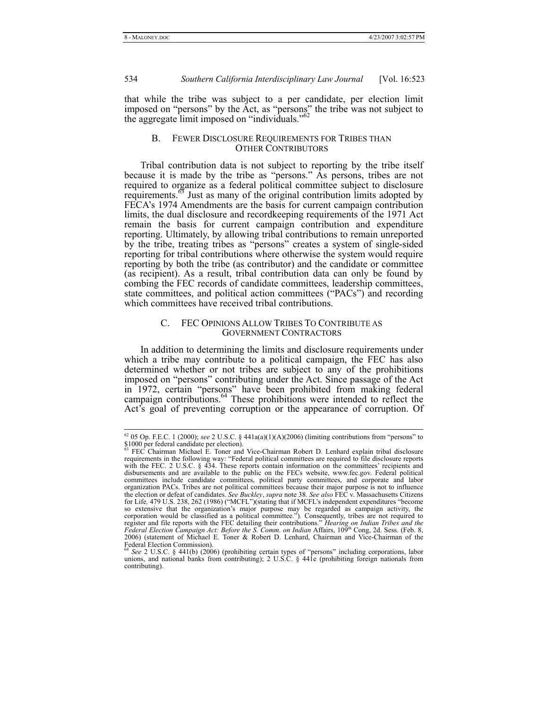that while the tribe was subject to a per candidate, per election limit imposed on "persons" by the Act, as "persons" the tribe was not subject to the aggregate limit imposed on "individuals."<sup>62</sup>

## B. FEWER DISCLOSURE REQUIREMENTS FOR TRIBES THAN OTHER CONTRIBUTORS

Tribal contribution data is not subject to reporting by the tribe itself because it is made by the tribe as "persons." As persons, tribes are not required to organize as a federal political committee subject to disclosure requirements.<sup>63</sup> Just as many of the original contribution limits adopted by FECA's 1974 Amendments are the basis for current campaign contribution limits, the dual disclosure and recordkeeping requirements of the 1971 Act remain the basis for current campaign contribution and expenditure reporting. Ultimately, by allowing tribal contributions to remain unreported by the tribe, treating tribes as "persons" creates a system of single-sided reporting for tribal contributions where otherwise the system would require reporting by both the tribe (as contributor) and the candidate or committee (as recipient). As a result, tribal contribution data can only be found by combing the FEC records of candidate committees, leadership committees, state committees, and political action committees ("PACs") and recording which committees have received tribal contributions.

#### C. FEC OPINIONS ALLOW TRIBES TO CONTRIBUTE AS GOVERNMENT CONTRACTORS

In addition to determining the limits and disclosure requirements under which a tribe may contribute to a political campaign, the FEC has also determined whether or not tribes are subject to any of the prohibitions imposed on "persons" contributing under the Act. Since passage of the Act in 1972, certain "persons" have been prohibited from making federal campaign contributions.<sup>64</sup> These prohibitions were intended to reflect the Act's goal of preventing corruption or the appearance of corruption. Of

 <sup>62 05</sup> Op. F.E.C. 1 (2000); *see* 2 U.S.C. § 441a(a)(1)(A)(2006) (limiting contributions from "persons" to \$1000 per federal candidate per election).<br><sup>63</sup> FEC Chairman Michael E. Toner and Vice-Chairman Robert D. Lenhard explain tribal disclosure

requirements in the following way: "Federal political committees are required to file disclosure reports with the FEC. 2 U.S.C. § 434. These reports contain information on the committees' recipients and disbursements and are available to the public on the FECs website, www.fec.gov. Federal political committees include candidate committees, political party committees, and corporate and labor organization PACs. Tribes are not political committees because their major purpose is not to influence the election or defeat of candidates. *See Buckley*, *supra* note 38. *See also* FEC v. Massachusetts Citizens for Life*,* 479 U.S. 238, 262 (1986) ("MCFL")(stating that if MCFL's independent expenditures "become so extensive that the organization's major purpose may be regarded as campaign activity, the corporation would be classified as a political committee."). Consequently, tribes are not required to register and file reports with the FEC detailing their contributions." *Hearing on Indian Tribes and the Federal Electio* 2006) (statement of Michael E. Toner & Robert D. Lenhard, Chairman and Vice-Chairman of the Federal Election Commission).

<sup>64</sup> *See* 2 U.S.C. § 441(b) (2006) (prohibiting certain types of "persons" including corporations, labor unions, and national banks from contributing); 2 U.S.C. § 441e (prohibiting foreign nationals from contributing).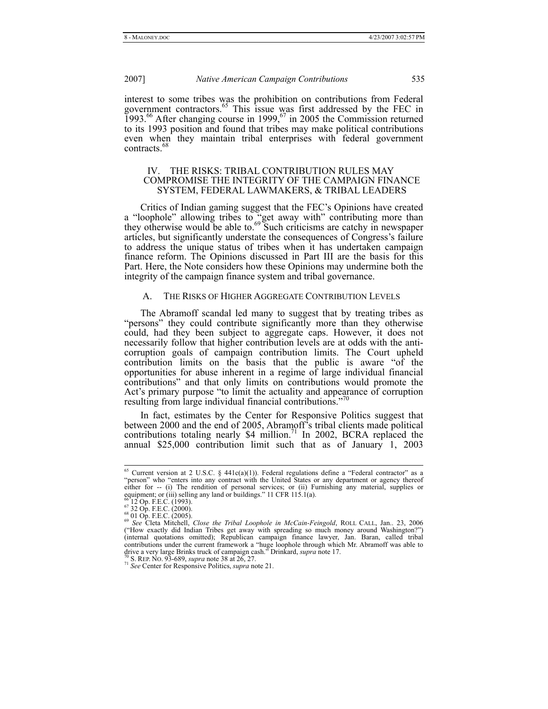interest to some tribes was the prohibition on contributions from Federal government contractors.<sup>65</sup> This issue was first addressed by the FEC in  $1993.^{66}$  After changing course in 1999,<sup>67</sup> in 2005 the Commission returned to its 1993 position and found that tribes may make political contributions even when they maintain tribal enterprises with federal government contracts.<sup>6</sup>

## IV. THE RISKS: TRIBAL CONTRIBUTION RULES MAY COMPROMISE THE INTEGRITY OF THE CAMPAIGN FINANCE SYSTEM, FEDERAL LAWMAKERS, & TRIBAL LEADERS

Critics of Indian gaming suggest that the FEC's Opinions have created a "loophole" allowing tribes to "get away with" contributing more than they otherwise would be able to.<sup>69</sup> Such criticisms are catchy in newspaper articles, but significantly understate the consequences of Congress's failure to address the unique status of tribes when it has undertaken campaign finance reform. The Opinions discussed in Part III are the basis for this Part. Here, the Note considers how these Opinions may undermine both the integrity of the campaign finance system and tribal governance.

# A. THE RISKS OF HIGHER AGGREGATE CONTRIBUTION LEVELS

The Abramoff scandal led many to suggest that by treating tribes as "persons" they could contribute significantly more than they otherwise could, had they been subject to aggregate caps. However, it does not necessarily follow that higher contribution levels are at odds with the anticorruption goals of campaign contribution limits. The Court upheld contribution limits on the basis that the public is aware "of the opportunities for abuse inherent in a regime of large individual financial contributions" and that only limits on contributions would promote the Act's primary purpose "to limit the actuality and appearance of corruption resulting from large individual financial contributions."70

In fact, estimates by the Center for Responsive Politics suggest that between 2000 and the end of 2005, Abramoff's tribal clients made political contributions totaling nearly \$4 million.<sup>71</sup> In 2002, BCRA replaced the annual \$25,000 contribution limit such that as of January 1, 2003

<sup>&</sup>lt;sup>65</sup> Current version at 2 U.S.C. § 441c(a)(1)). Federal regulations define a "Federal contractor" as a "person" who "enters into any contract with the United States or any department or agency thereof either for -- (i) The rendition of personal services; or (ii) Furnishing any material, supplies or equipment; or (iii) selling any land or buildings." 11 CFR 115.1(a).

<sup>&</sup>lt;sup>66</sup>12 Op. F.E.C. (1993).<br><sup>67</sup> 32 Op. F.E.C. (2000).<br><sup>68</sup> 01 Op. F.E.C. (2000).<br><sup>69</sup> *See* Cleta Mitchell, *Close the Tribal Loophole in McCain-Feingold*, ROLL CALL, Jan.. 23, 2006<br><sup>69</sup> *See* Cleta Mitchell, *Close the Tri* (internal quotations omitted); Republican campaign finance lawyer, Jan. Baran, called tribal contributions under the current framework a "huge loophole through which Mr. Abramoff was able to drive a very large Brinks truck of campaign cash." Drinkard, *supra* note 17.<br><sup>70</sup> S. REP. NO. 93-689, *supra* note 38 at 2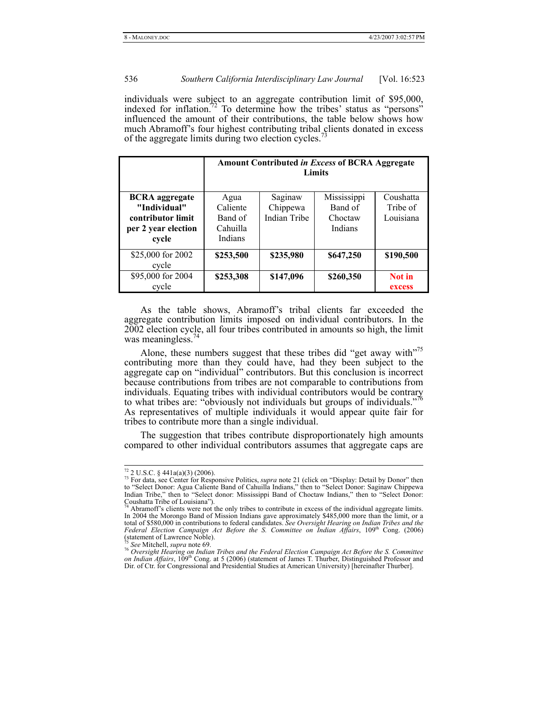individuals were subject to an aggregate contribution limit of \$95,000, indexed for inflation.<sup>72</sup> To determine how the tribes' status as "persons" influenced the amount of their contributions, the table below shows how much Abramoff's four highest contributing tribal clients donated in excess of the aggregate limits during two election cycles.<sup>7</sup>

|                                   | <b>Amount Contributed in Excess of BCRA Aggregate</b><br>Limits |                          |                    |                       |
|-----------------------------------|-----------------------------------------------------------------|--------------------------|--------------------|-----------------------|
| <b>BCRA</b> aggregate             | Agua                                                            | Saginaw                  | Mississippi        | Coushatta             |
| "Individual"<br>contributor limit | Caliente<br>Band of                                             | Chippewa<br>Indian Tribe | Band of<br>Choctaw | Tribe of<br>Louisiana |
| per 2 year election               | Cahuilla                                                        |                          | Indians            |                       |
| cycle                             | Indians                                                         |                          |                    |                       |
| \$25,000 for 2002<br>cycle        | \$253,500                                                       | \$235,980                | \$647,250          | \$190,500             |
| \$95,000 for 2004<br>cycle        | \$253,308                                                       | \$147,096                | \$260,350          | Not in<br>excess      |

As the table shows, Abramoff's tribal clients far exceeded the aggregate contribution limits imposed on individual contributors. In the 2002 election cycle, all four tribes contributed in amounts so high, the limit was meaningless.<sup>74</sup>

Alone, these numbers suggest that these tribes did "get away with"<sup>75</sup> contributing more than they could have, had they been subject to the aggregate cap on "individual" contributors. But this conclusion is incorrect because contributions from tribes are not comparable to contributions from individuals. Equating tribes with individual contributors would be contrary to what tribes are: "obviously not individuals but groups of individuals."<sup>76</sup> As representatives of multiple individuals it would appear quite fair for tribes to contribute more than a single individual.

The suggestion that tribes contribute disproportionately high amounts compared to other individual contributors assumes that aggregate caps are

<sup>&</sup>lt;sup>72</sup> 2 U.S.C. § 441a(a)(3) (2006).<br><sup>73</sup> For data, see Center for Responsive Politics, *supra* note 21 (click on "Display: Detail by Donor" then to "Select Donor: Agua Caliente Band of Cahuilla Indians," then to "Select Do Indian Tribe," then to "Select donor: Mississippi Band of Choctaw Indians," then to "Select Donor:

Coushatta Tribe of Louisiana").<br><sup>74</sup> Abramoff's clients were not the only tribes to contribute in excess of the individual aggregate limits. In 2004 the Morongo Band of Mission Indians gave approximately \$485,000 more than the limit, or a total of \$580,000 in contributions to federal candidates. *See Oversight Hearing on Indian Tribes and the Federal Election Campaign Act Before the S. Committee on Indian Affairs*, 109th Cong. (2006) (statement of Lawrence Noble).

<sup>&</sup>lt;sup>75</sup> See Mitchell, supra note 69.<br><sup>76</sup> Oversight Hearing on Indian Tribes and the Federal Election Campaign Act Before the S. Committee *on Indian Affairs*, 109th Cong. at 5 (2006) (statement of James T. Thurber, Distinguished Professor and Dir. of Ctr. for Congressional and Presidential Studies at American University) [hereinafter Thurber].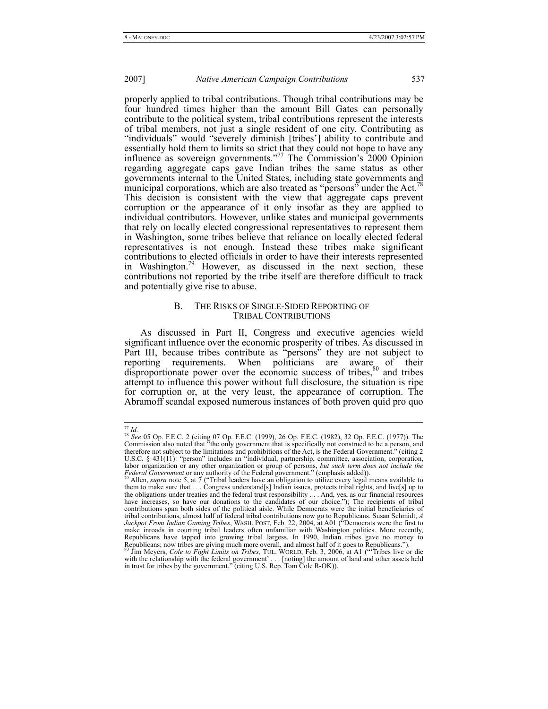properly applied to tribal contributions. Though tribal contributions may be four hundred times higher than the amount Bill Gates can personally contribute to the political system, tribal contributions represent the interests of tribal members, not just a single resident of one city. Contributing as "individuals" would "severely diminish [tribes'] ability to contribute and essentially hold them to limits so strict that they could not hope to have any influence as sovereign governments."<sup>77</sup> The Commission's 2000 Opinion regarding aggregate caps gave Indian tribes the same status as other governments internal to the United States, including state governments and municipal corporations, which are also treated as "persons" under the Act.<sup>78</sup> This decision is consistent with the view that aggregate caps prevent corruption or the appearance of it only insofar as they are applied to individual contributors. However, unlike states and municipal governments that rely on locally elected congressional representatives to represent them in Washington, some tribes believe that reliance on locally elected federal representatives is not enough. Instead these tribes make significant contributions to elected officials in order to have their interests represented in Washington.<sup>79</sup> However, as discussed in the next section, these contributions not reported by the tribe itself are therefore difficult to track and potentially give rise to abuse.

# B. THE RISKS OF SINGLE-SIDED REPORTING OF TRIBAL CONTRIBUTIONS

As discussed in Part II, Congress and executive agencies wield significant influence over the economic prosperity of tribes. As discussed in Part III, because tribes contribute as "persons" they are not subject to reporting requirements. When politicians are aware of their disproportionate power over the economic success of tribes, $80$  and tribes attempt to influence this power without full disclosure, the situation is ripe for corruption or, at the very least, the appearance of corruption. The Abramoff scandal exposed numerous instances of both proven quid pro quo

 $^{77}$  *Id.*<br><sup>78</sup> *See* 05 Op. F.E.C. 2 (citing 07 Op. F.E.C. (1999), 26 Op. F.E.C. (1982), 32 Op. F.E.C. (1977)). The Commission also noted that "the only government that is specifically not construed to be a person, and therefore not subject to the limitations and prohibitions of the Act, is the Federal Government." (citing 2 U.S.C. § 431(11): "person" includes an "individual, partnership, committee, association, corporation, labor organization or any other organization or group of persons, *but such term does not include the* 

*Federal Government* or any authority of the Federal government." (emphasis added)).<br><sup>79</sup> Allen, *supra* note 5, at 7 ("Tribal leaders have an obligation to utilize every legal means available to them to make sure that . the obligations under treaties and the federal trust responsibility . . . And, yes, as our financial resources<br>have increases, so have our donations to the candidates of our choice."); The recipients of tribal<br>contribution tribal contributions, almost half of federal tribal contributions now go to Republicans. Susan Schmidt, A Jackpot From Indian Gaming Tribes, WASH. POST, Feb. 22, 2004, at A01 ("Democrats were the first to make inroads in c Republicans have tapped into growing tribal largess. In 1990, Indian tribes gave no money to Republicans; now tribes are giving much more overall, and almost half of it goes to Republicans."). <sup>80</sup> Jim Meyers, *Cole to Fight Limits on Tribes*, TUL. WORLD, Feb. 3, 2006, at A1 ("'Tribes live or die

with the relationship with the federal government' . . . [noting] the amount of land and other assets held in trust for tribes by the government." (citing U.S. Rep. Tom Cole R-OK)).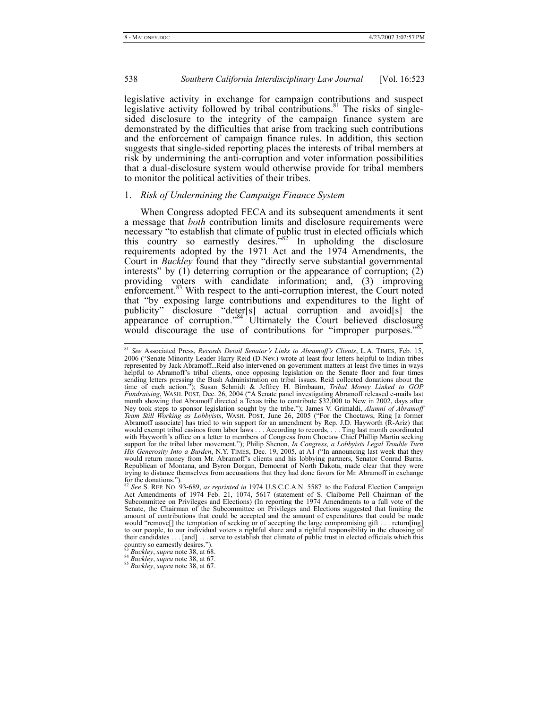legislative activity in exchange for campaign contributions and suspect legislative activity followed by tribal contributions.<sup>81</sup> The risks of singlesided disclosure to the integrity of the campaign finance system are demonstrated by the difficulties that arise from tracking such contributions and the enforcement of campaign finance rules. In addition, this section suggests that single-sided reporting places the interests of tribal members at risk by undermining the anti-corruption and voter information possibilities that a dual-disclosure system would otherwise provide for tribal members to monitor the political activities of their tribes.

#### 1. *Risk of Undermining the Campaign Finance System*

When Congress adopted FECA and its subsequent amendments it sent a message that *both* contribution limits and disclosure requirements were necessary "to establish that climate of public trust in elected officials which this country so earnestly desires.<sup> $5,82$ </sup> In upholding the disclosure requirements adopted by the 1971 Act and the 1974 Amendments, the Court in *Buckley* found that they "directly serve substantial governmental interests" by (1) deterring corruption or the appearance of corruption; (2) providing voters with candidate information; and, (3) improving enforcement.<sup>83</sup> With respect to the anti-corruption interest, the Court noted that "by exposing large contributions and expenditures to the light of publicity" disclosure "deter[s] actual corruption and avoid[s] the appearance of corruption."<sup>84</sup> Ultimately the Court believed disclosure would discourage the use of contributions for "improper purposes."<sup>85</sup>

 <sup>81</sup> *See* Associated Press, *Records Detail Senator's Links to Abramoff's Clients*, L.A. TIMES, Feb. 15, 2006 ("Senate Minority Leader Harry Reid (D-Nev.) wrote at least four letters helpful to Indian tribes represented by Jack Abramoff...Reid also intervened on government matters at least five times in ways helpful to Abramoff's tribal clients, once opposing legislation on the Senate floor and four times sending letters pressing the Bush Administration on tribal issues. Reid collected donations about the time of each action."); Susan Schmidt & Jeffrey H. Birnbaum, *Tribal Money Linked to GOP Fundraising*, WASH. POST, Dec. 26, 2004 ("A Senate panel investigating Abramoff released e-mails last month showing that Abramoff directed a Texas tribe to contribute \$32,000 to New in 2002, days after Ney took steps to sponsor legislation sought by the tribe."); James V. Grimaldi, Alumni of Abramoff Team Still Working as Lobbyists, WASH. POST, June 26, 2005 ("For the Choctaws, Ring [a former Abramoff associate] has trie would exempt tribal casinos from labor laws . . . According to records, . . . Ting last month coordinated with Hayworth's office on a letter to members of Congress from Choctaw Chief Phillip Martin seeking support for the tribal labor movement."); Philip Shenon, *In Congress, a Lobbyists Legal Trouble Turn His Generosity Into a Burden*, N.Y. TIMES, Dec. 19, 2005, at A1 ("In announcing last week that they would return money from Mr. Abramoff's clients and his lobbying partners, Senator Conrad Burns. Republican of Montana, and Byron Dorgan, Democrat of North Dakota, made clear that they were trying to distance themselves from accusations that they had done favors for Mr. Abramoff in exchange for the donations."). <sup>82</sup> *See* S. REP. NO. 93-689, *as reprinted in* 1974 U.S.C.C.A.N. 5587 to the Federal Election Campaign

Act Amendments of 1974 Feb. 21, 1074, 5617 (statement of S. Claiborne Pell Chairman of the Subcommittee on Privileges and Elections) (In reporting the 1974 Amendments to a full vote of the Senate, the Chairman of the Subcommittee on Privileges and Elections suggested that limiting the amount of contributions that could be accepted and the amount of expenditures that could be made would "remove[] the temptation of seeking or of accepting the large compromising gift . . . return[ing] to our people, to our individual voters a rightful share and a rightful responsibility in the choosing of their candidates . . . [and] . . . serve to establish that climate of public trust in elected officials which this country so earnestly desires.").

<sup>&</sup>lt;sup>83</sup> *Buckley*, *supra* note 38, at 68. 84 *Buckley*, *supra* note 38, at 67. 85 *Buckley*, *supra* note 38, at 67.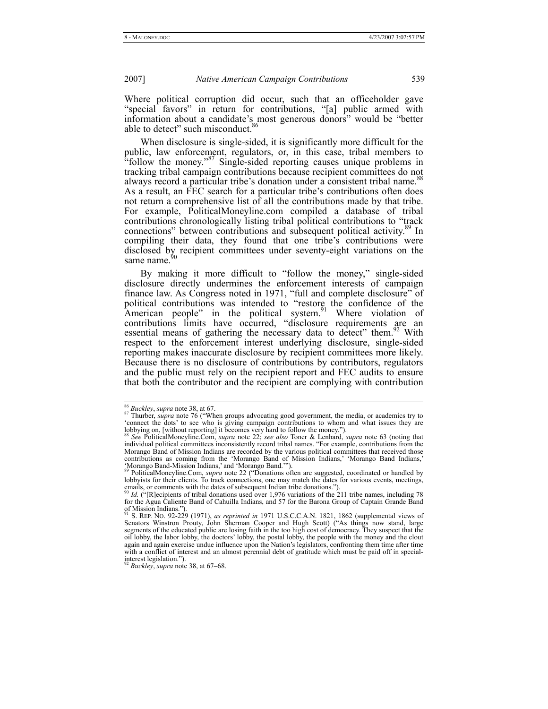Where political corruption did occur, such that an officeholder gave "special favors" in return for contributions, "[a] public armed with information about a candidate's most generous donors" would be "better able to detect" such misconduct.<sup>86</sup>

When disclosure is single-sided, it is significantly more difficult for the public, law enforcement, regulators, or, in this case, tribal members to "follow the money."<sup>87</sup> Single-sided reporting causes unique problems in tracking tribal campaign contributions because recipient committees do not always record a particular tribe's donation under a consistent tribal name.<sup>8</sup> As a result, an FEC search for a particular tribe's contributions often does not return a comprehensive list of all the contributions made by that tribe. For example, PoliticalMoneyline.com compiled a database of tribal contributions chronologically listing tribal political contributions to "track connections" between contributions and subsequent political activity.<sup>89</sup> In compiling their data, they found that one tribe's contributions were disclosed by recipient committees under seventy-eight variations on the same name.<sup>9</sup>

By making it more difficult to "follow the money," single-sided disclosure directly undermines the enforcement interests of campaign finance law. As Congress noted in 1971, "full and complete disclosure" of political contributions was intended to "restore the confidence of the American people" in the political system.<sup>91</sup> Where violation of contributions limits have occurred, "disclosure requirements are an essential means of gathering the necessary data to detect" them.<sup>92</sup> With respect to the enforcement interest underlying disclosure, single-sided reporting makes inaccurate disclosure by recipient committees more likely. Because there is no disclosure of contributions by contributors, regulators and the public must rely on the recipient report and FEC audits to ensure that both the contributor and the recipient are complying with contribution

<sup>92</sup> *Buckley*, *supra* note 38, at 67–68.

<sup>&</sup>lt;sup>86</sup> Buckley, supra note 38, at 67.<br><sup>87</sup> Thurber, *supra* note 76 ("When groups advocating good government, the media, or academics try to 'connect the dots' to see who is giving campaign contributions to whom and what iss lobbying on, [without reporting] it becomes very hard to follow the money.").

<sup>88</sup> *See* PoliticalMoneyline.Com, *supra* note 22; *see also* Toner & Lenhard, *supra* note 63 (noting that individual political committees inconsistently record tribal names. "For example, contributions from the Morango Band of Mission Indians are recorded by the various political committees that received those contributions as coming from the 'Morango Band of Mission Indians,' 'Morango Band Indians,' 'Morango Band-Mission Indians,' and 'Morango Band.'"). 89 PoliticalMoneyline.Com, *supra* note 22 ("Donations often are suggested, coordinated or handled by

lobbyists for their clients. To track connections, one may match the dates for various events, meetings, emails, or comments with the dates of subsequent Indian tribe donations."

<sup>90</sup> *Id.* ("[R]ecipients of tribal donations used over 1,976 variations of the 211 tribe names, including 78 for the Agua Caliente Band of Cahuilla Indians, and 57 for the Barona Group of Captain Grande Band of Mission Indians.").

<sup>&</sup>lt;sup>91</sup> S. REP. No. 92-229 (1971), *as reprinted in* 1971 U.S.C.C.A.N. 1821, 1862 (supplemental views of Senators Winstron Prouty, John Sherman Cooper and Hugh Scott) ("As things now stand, large segments of the educated pub oil lobby, the labor lobby, the doctors' lobby, the postal lobby, the people with the money and the clout again and again exercise undue influence upon the Nation's legislators, confronting them time after time with a conflict of interest and an almost perennial debt of gratitude which must be paid off in specialinterest legislation.").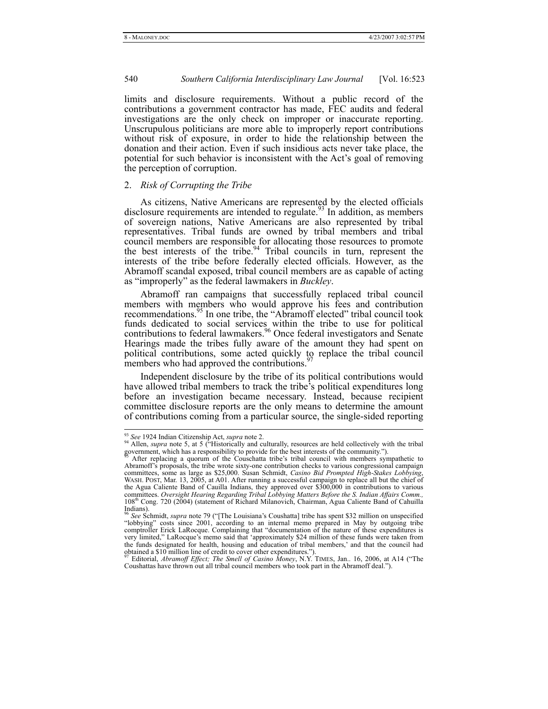limits and disclosure requirements. Without a public record of the contributions a government contractor has made, FEC audits and federal investigations are the only check on improper or inaccurate reporting. Unscrupulous politicians are more able to improperly report contributions without risk of exposure, in order to hide the relationship between the donation and their action. Even if such insidious acts never take place, the potential for such behavior is inconsistent with the Act's goal of removing the perception of corruption.

# 2. *Risk of Corrupting the Tribe*

As citizens, Native Americans are represented by the elected officials disclosure requirements are intended to regulate.<sup>93</sup> In addition, as members of sovereign nations, Native Americans are also represented by tribal representatives. Tribal funds are owned by tribal members and tribal council members are responsible for allocating those resources to promote the best interests of the tribe.<sup>94</sup> Tribal councils in turn, represent the interests of the tribe before federally elected officials. However, as the Abramoff scandal exposed, tribal council members are as capable of acting as "improperly" as the federal lawmakers in *Buckley*.

Abramoff ran campaigns that successfully replaced tribal council members with members who would approve his fees and contribution recommendations.<sup>95</sup> In one tribe, the "Abramoff elected" tribal council took funds dedicated to social services within the tribe to use for political contributions to federal lawmakers.<sup>96</sup> Once federal investigators and Senate Hearings made the tribes fully aware of the amount they had spent on political contributions, some acted quickly to replace the tribal council members who had approved the contributions.  $97$ 

Independent disclosure by the tribe of its political contributions would have allowed tribal members to track the tribe's political expenditures long before an investigation became necessary. Instead, because recipient committee disclosure reports are the only means to determine the amount of contributions coming from a particular source, the single-sided reporting

<sup>&</sup>lt;sup>93</sup> See 1924 Indian Citizenship Act, *supra* note 2.<br><sup>94</sup> Allen, *supra* note 5, at 5 ("Historically and culturally, resources are held collectively with the tribal government, which has a responsibility to provide for th

After replacing a quorum of the Couschatta tribe's tribal council with members sympathetic to Abramoff's proposals, the tribe wrote sixty-one contribution checks to various congressional campaign committees, some as large as \$25,000. Susan Schmidt, *Casino Bid Prompted High-Stakes Lobbying*, WASH. POST, Mar. 13, 2005, at A01. After running a successful campaign to replace all but the chief of the Agua Caliente Band of Cauilla Indians, they approved over \$300,000 in contributions to various committees. *Oversight Hearing Regarding Tribal Lobbying Matters Before the S. Indian Affairs Comm.,*  108th Cong. 720 (2004) (statement of Richard Milanovich, Chairman, Agua Caliente Band of Cahuilla Indians).

<sup>96</sup> *See* Schmidt, *supra* note 79 ("[The Louisiana's Coushatta] tribe has spent \$32 million on unspecified "lobbying" costs since 2001, according to an internal memo prepared in May by outgoing tribe comptroller Erick LaRocque. Complaining that "documentation of the nature of these expenditures is very limited," LaRocque's memo said that 'approximately \$24 million of these funds were taken from the funds designated for health, housing and education of tribal members,' and that the council had obtained a \$10 million line of credit to cover other expenditures."). 97 Editorial, *Abramoff Effect; The Smell of Casino Money*, N.Y. TIMES, Jan.. 16, 2006, at A14 ("The

Coushattas have thrown out all tribal council members who took part in the Abramoff deal.").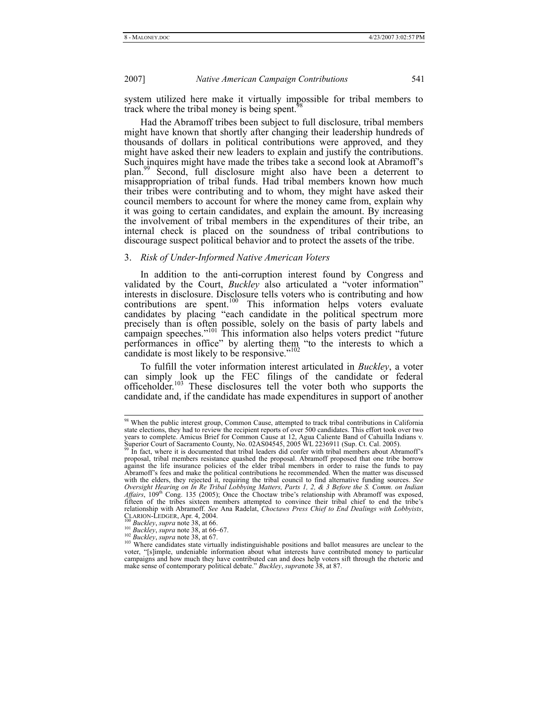system utilized here make it virtually impossible for tribal members to track where the tribal money is being spent.<sup>9</sup>

Had the Abramoff tribes been subject to full disclosure, tribal members might have known that shortly after changing their leadership hundreds of thousands of dollars in political contributions were approved, and they might have asked their new leaders to explain and justify the contributions. Such inquires might have made the tribes take a second look at Abramoff's plan.99 Second, full disclosure might also have been a deterrent to misappropriation of tribal funds. Had tribal members known how much their tribes were contributing and to whom, they might have asked their council members to account for where the money came from, explain why it was going to certain candidates, and explain the amount. By increasing the involvement of tribal members in the expenditures of their tribe, an internal check is placed on the soundness of tribal contributions to discourage suspect political behavior and to protect the assets of the tribe.

#### 3. *Risk of Under-Informed Native American Voters*

In addition to the anti-corruption interest found by Congress and validated by the Court, *Buckley* also articulated a "voter information" interests in disclosure. Disclosure tells voters who is contributing and how contributions are spent.<sup>100</sup> This information helps voters evaluate candidates by placing "each candidate in the political spectrum more precisely than is often possible, solely on the basis of party labels and campaign speeches."<sup>101</sup> This information also helps voters predict "future" performances in office" by alerting them "to the interests to which a candidate is most likely to be responsive."<sup>102</sup>

To fulfill the voter information interest articulated in *Buckley*, a voter can simply look up the FEC filings of the candidate or federal officeholder.103 These disclosures tell the voter both who supports the candidate and, if the candidate has made expenditures in support of another

 <sup>98</sup> When the public interest group, Common Cause, attempted to track tribal contributions in California state elections, they had to review the recipient reports of over 500 candidates. This effort took over two years to complete. Amicus Brief for Common Cause at 12, Agua Caliente Band of Cahuilla Indians v.<br>Superior Court of Sacramento County, No. 02AS04545, 2005 WL 2236911 (Sup. Ct. Cal. 2005).<br><sup>99</sup> In fact, where it is document

proposal, tribal members resistance quashed the proposal. Abramoff proposed that one tribe borrow against the life insurance policies of the elder tribal members in order to raise the funds to pay Abramoff's fees and make the political contributions he recommended. When the matter was discussed with the elders, they rejected it, requiring the tribal council to find alternative funding sources. *See Oversight Hearing on In Re Tribal Lobbying Matters, Parts 1, 2, & 3 Before the S. Comm. on Indian Affairs*, 109<sup>th</sup> Cong. 135 (2005); Once the Choctaw tribe's relationship with Abramoff was exposed, fifteen of the tribes sixteen members attempted to convince their tribal chief to end the tribe's relationship with Abramoff. *See* Ana Radelat, *Choctaws Press Chief to End Dealings with Lobbyists*, CLARION-LEDGER, Apr. 4, 2004.<br>
<sup>100</sup> Buckley, supra note 38, at 66.<br>
<sup>101</sup> Buckley, supra note 38, at 66–67.<br>
<sup>102</sup> Buckley, supra note 38, at 66–67.<br>
<sup>102</sup> Buckley, supra note 38, at 67.<br>
<sup>102</sup> Buckley, supra note 38, at

voter, "[s]imple, undeniable information about what interests have contributed money to particular campaigns and how much they have contributed can and does help voters sift through the rhetoric and make sense of contemporary political debate." *Buckley*, *supra*note 38, at 87.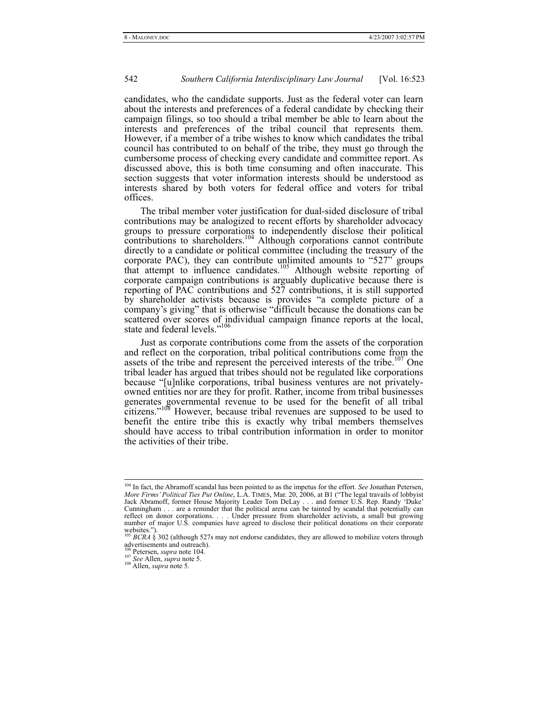candidates, who the candidate supports. Just as the federal voter can learn about the interests and preferences of a federal candidate by checking their campaign filings, so too should a tribal member be able to learn about the interests and preferences of the tribal council that represents them. However, if a member of a tribe wishes to know which candidates the tribal council has contributed to on behalf of the tribe, they must go through the cumbersome process of checking every candidate and committee report. As discussed above, this is both time consuming and often inaccurate. This section suggests that voter information interests should be understood as interests shared by both voters for federal office and voters for tribal offices.

The tribal member voter justification for dual-sided disclosure of tribal contributions may be analogized to recent efforts by shareholder advocacy groups to pressure corporations to independently disclose their political contributions to shareholders.<sup>104</sup> Although corporations cannot contribute directly to a candidate or political committee (including the treasury of the corporate PAC), they can contribute unlimited amounts to "527" groups that attempt to influence candidates.<sup>105</sup> Although website reporting of corporate campaign contributions is arguably duplicative because there is reporting of PAC contributions and 527 contributions, it is still supported by shareholder activists because is provides "a complete picture of a company's giving" that is otherwise "difficult because the donations can be scattered over scores of individual campaign finance reports at the local, state and federal levels."<sup>106</sup>

Just as corporate contributions come from the assets of the corporation and reflect on the corporation, tribal political contributions come from the assets of the tribe and represent the perceived interests of the tribe.<sup>107</sup> One tribal leader has argued that tribes should not be regulated like corporations because "[u]nlike corporations, tribal business ventures are not privatelyowned entities nor are they for profit. Rather, income from tribal businesses generates governmental revenue to be used for the benefit of all tribal citizens."<sup>108</sup> However, because tribal revenues are supposed to be used to benefit the entire tribe this is exactly why tribal members themselves should have access to tribal contribution information in order to monitor the activities of their tribe.

<sup>&</sup>lt;sup>104</sup> In fact, the Abramoff scandal has been pointed to as the impetus for the effort. *See* Jonathan Petersen, *More Firms' Political Ties Put Online*, L.A. TIMES, Mar. 20, 2006, at B1 ("The legal travails of lobbyist Jack Abramoff, former House Majority Leader Tom DeLay . . . and former U.S. Rep. Randy 'Duke' Cunningham . . . are a reminder that the political arena can be tainted by scandal that potentially can reflect on donor corporations. . . . Under pressure from shareholder activists, a small but growing number of major U.S. companies have agreed to disclose their political donations on their corporate websites.").<br><sup>105</sup> *BCRA* § 302 (although 527s may not endorse candidates, they are allowed to mobilize voters through

advertisements and outreach).

<sup>106</sup> Petersen, *supra* note 104. 107 *See* Allen, *supra* note 5. 108 Allen, *supra* note 5.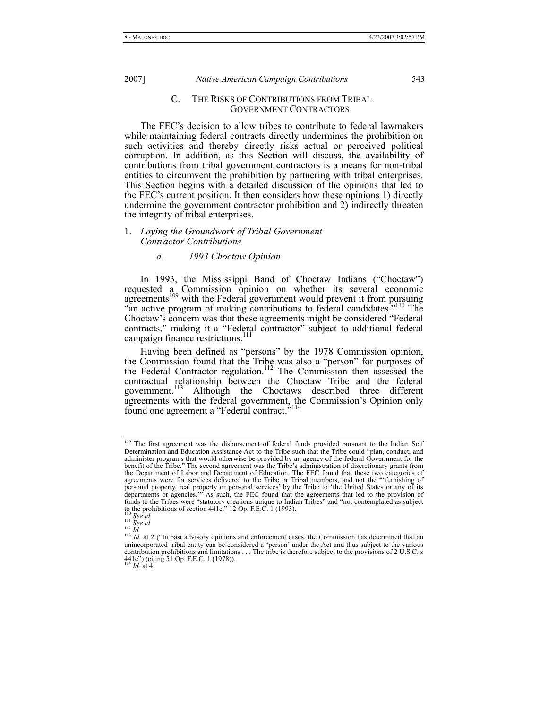C. THE RISKS OF CONTRIBUTIONS FROM TRIBAL GOVERNMENT CONTRACTORS

The FEC's decision to allow tribes to contribute to federal lawmakers while maintaining federal contracts directly undermines the prohibition on such activities and thereby directly risks actual or perceived political corruption. In addition, as this Section will discuss, the availability of contributions from tribal government contractors is a means for non-tribal entities to circumvent the prohibition by partnering with tribal enterprises. This Section begins with a detailed discussion of the opinions that led to the FEC's current position. It then considers how these opinions 1) directly undermine the government contractor prohibition and 2) indirectly threaten the integrity of tribal enterprises.

## 1. *Laying the Groundwork of Tribal Government Contractor Contributions*

## *a. 1993 Choctaw Opinion*

In 1993, the Mississippi Band of Choctaw Indians ("Choctaw") requested a Commission opinion on whether its several economic agreements<sup>109</sup> with the Federal government would prevent it from pursuing "an active program of making contributions to federal candidates.<sup>"</sup><sup>110</sup> The Choctaw's concern was that these agreements might be considered "Federal contracts," making it a "Federal contractor" subject to additional federal campaign finance restrictions.<sup>111</sup>

Having been defined as "persons" by the 1978 Commission opinion, the Commission found that the Tribe was also a "person" for purposes of the Federal Contractor regulation.<sup>112</sup> The Commission then assessed the contractual relationship between the Choctaw Tribe and the federal government.<sup>113</sup> Although the Choctaws described three different Although the Choctaws described three different agreements with the federal government, the Commission's Opinion only found one agreement a "Federal contract."<sup>114</sup>

<sup>&</sup>lt;sup>109</sup> The first agreement was the disbursement of federal funds provided pursuant to the Indian Self Determination and Education Assistance Act to the Tribe such that the Tribe could "plan, conduct, and administer programs that would otherwise be provided by an agency of the federal Government for the benefit of the Tribe." The second agreement was the Tribe's administration of discretionary grants from the Department of Labor and Department of Education. The FEC found that these two categories of agreements were for services delivered to the Tribe or Tribal members, and not the "'furnishing of personal property, real property or personal services' by the Tribe to 'the United States or any of its departments or agencies.'" As such, the FEC found that the agreements that led to the provision of funds to the Tribes were "statutory creations unique to Indian Tribes" and "not contemplated as subject<br>to the prohibitions of section 441c." 12 Op. F.E.C. 1 (1993).<br><sup>110</sup> *See id.*<br><sup>111</sup> *See id.*<br><sup>111</sup> *Id.* at 2 ("In p

 $113$   $1d$ , at 2 ("In past advisory opinions and enforcement cases, the Commission has determined that an unincorporated tribal entity can be considered a 'person' under the Act and thus subject to the various contribution prohibitions and limitations . . . The tribe is therefore subject to the provisions of 2 U.S.C. s 441c") (citing 51 Op. F.E.C. 1 (1978)). <sup>114</sup> *Id.* at 4.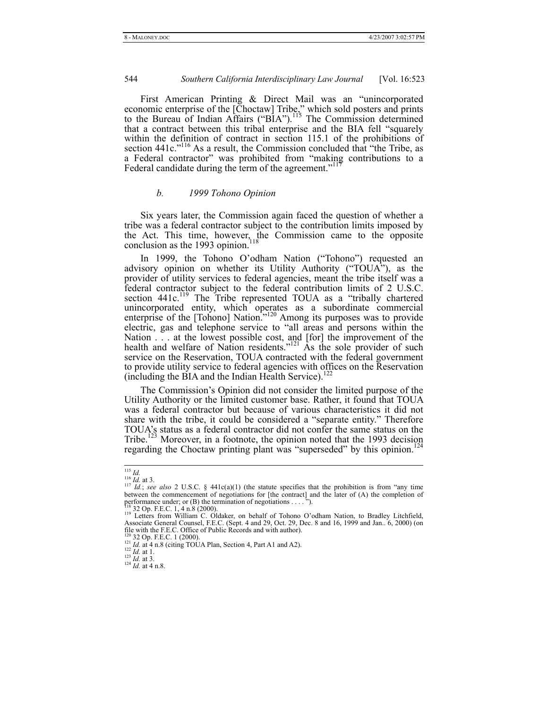First American Printing & Direct Mail was an "unincorporated economic enterprise of the [Choctaw] Tribe," which sold posters and prints to the Bureau of Indian Affairs ("BIA").<sup>115</sup> The Commission determined that a contract between this tribal enterprise and the BIA fell "squarely within the definition of contract in section 115.1 of the prohibitions of section 441c."<sup>116</sup> As a result, the Commission concluded that "the Tribe, as a Federal contractor" was prohibited from "making contributions to a Federal candidate during the term of the agreement."<sup>117</sup>

# *b. 1999 Tohono Opinion*

Six years later, the Commission again faced the question of whether a tribe was a federal contractor subject to the contribution limits imposed by the Act. This time, however, the Commission came to the opposite conclusion as the 1993 opinion.

In 1999, the Tohono O'odham Nation ("Tohono") requested an advisory opinion on whether its Utility Authority ("TOUA"), as the provider of utility services to federal agencies, meant the tribe itself was a federal contractor subject to the federal contribution limits of 2 U.S.C. section 441c.<sup>119</sup> The Tribe represented TOUA as a "tribally chartered unincorporated entity, which operates as a subordinate commercial enterprise of the [Tohono] Nation.<sup>"120</sup> Among its purposes was to provide electric, gas and telephone service to "all areas and persons within the Nation . . . at the lowest possible cost, and [for] the improvement of the health and welfare of Nation residents."<sup>121</sup> As the sole provider of such service on the Reservation, TOUA contracted with the federal government to provide utility service to federal agencies with offices on the Reservation (including the BIA and the Indian Health Service).<sup>12</sup>

The Commission's Opinion did not consider the limited purpose of the Utility Authority or the limited customer base. Rather, it found that TOUA was a federal contractor but because of various characteristics it did not share with the tribe, it could be considered a "separate entity." Therefore TOUA's status as a federal contractor did not confer the same status on the Tribe.<sup>123</sup> Moreover, in a footnote, the opinion noted that the 1993 decision regarding the Choctaw printing plant was "superseded" by this opinion.<sup>1</sup>

<sup>&</sup>lt;sup>115</sup> *Id.*<br><sup>116</sup> *Id.* at 3.<br><sup>117</sup> *Id.*; *see also* 2 U.S.C. § 441c(a)(1) (the statute specifies that the prohibition is from "any time between the commencement of negotiations for [the contract] and the later of (A) the completion of performance under; or (B) the termination of negotiations . . . . . ").<br><sup>118</sup> 32 Op. F.E.C. 1, 4 n.8 (2000).

<sup>&</sup>lt;sup>118</sup> 32 Op. F.E.C. 1, 4 n.8 (2000).<br><sup>119</sup> Letters from William C. Oldaker, on behalf of Tohono O'odham Nation, to Bradley Litchfield,<br>Associate General Counsel, F.E.C. (Sept. 4 and 29, Oct. 29, Dec. 8 and 16, 1999 and Jan

<sup>&</sup>lt;sup>120</sup> 32 Op. F.E.C. 1 (2000).<br>
<sup>121</sup> *Id.* at 4 n.8 (citing TOUA Plan, Section 4, Part A1 and A2).<br>
<sup>122</sup> *Id.* at 1.<br>
<sup>122</sup> *Id.* at 3.<br>
<sup>124</sup> *Id.* at 4 n.8.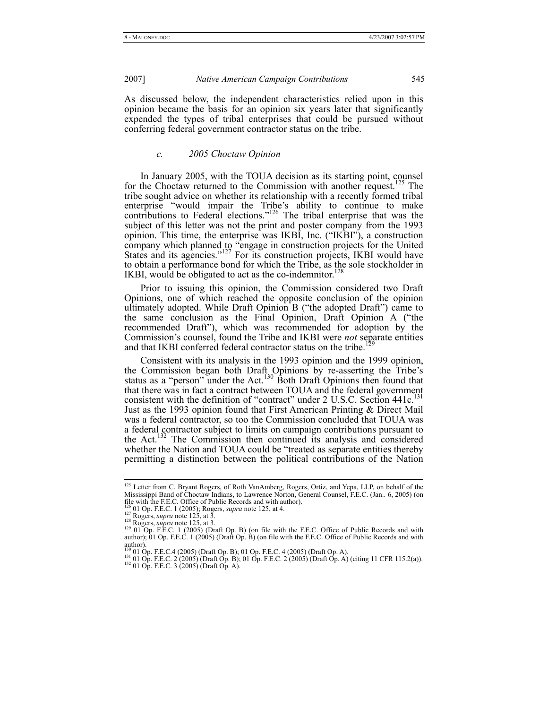As discussed below, the independent characteristics relied upon in this opinion became the basis for an opinion six years later that significantly expended the types of tribal enterprises that could be pursued without conferring federal government contractor status on the tribe.

# *c. 2005 Choctaw Opinion*

In January 2005, with the TOUA decision as its starting point, counsel for the Choctaw returned to the Commission with another request.<sup>125</sup> The tribe sought advice on whether its relationship with a recently formed tribal enterprise "would impair the Tribe's ability to continue to make contributions to Federal elections."<sup>126</sup> The tribal enterprise that was the subject of this letter was not the print and poster company from the 1993 opinion. This time, the enterprise was IKBI, Inc. ("IKBI"), a construction company which planned to "engage in construction projects for the United States and its agencies."<sup>127</sup> For its construction projects, IKBI would have to obtain a performance bond for which the Tribe, as the sole stockholder in IKBI, would be obligated to act as the co-indemnitor.<sup>12</sup>

Prior to issuing this opinion, the Commission considered two Draft Opinions, one of which reached the opposite conclusion of the opinion ultimately adopted. While Draft Opinion B ("the adopted Draft") came to the same conclusion as the Final Opinion, Draft Opinion A ("the recommended Draft"), which was recommended for adoption by the Commission's counsel, found the Tribe and IKBI were *not* separate entities and that IKBI conferred federal contractor status on the tribe.

Consistent with its analysis in the 1993 opinion and the 1999 opinion, the Commission began both Draft Opinions by re-asserting the Tribe's status as a "person" under the Act.<sup>130</sup> Both Draft Opinions then found that that there was in fact a contract between TOUA and the federal government consistent with the definition of "contract" under  $2 \text{ U.S.C.}$  Section  $441c$ <sup>131</sup> Just as the 1993 opinion found that First American Printing & Direct Mail was a federal contractor, so too the Commission concluded that TOUA was a federal contractor subject to limits on campaign contributions pursuant to the Act.132 The Commission then continued its analysis and considered whether the Nation and TOUA could be "treated as separate entities thereby permitting a distinction between the political contributions of the Nation

<sup>&</sup>lt;sup>125</sup> Letter from C. Bryant Rogers, of Roth VanAmberg, Rogers, Ortiz, and Yepa, LLP, on behalf of the Mississippi Band of Choctaw Indians, to Lawrence Norton, General Counsel, F.E.C. (Jan.. 6, 2005) (on file with the F.E.C. Office of Public Records and with author).<br><sup>126</sup> 01 Op. F.E.C. 1 (2005); Rogers, *supra* note 125, file with the F.E.C. Office of Public Records and with author).<br><sup>126</sup> 01 Op. F.E.C. 1 (2005); Rogers, *supra* note 125, at 4.<br><sup>127</sup> Rogers, *supra* note 125, at 3.<br><sup>128</sup> Rogers, *supra* note 125, at 3.<br><sup>129</sup> 01 Op. F.E.C.

author); 01 Op. F.E.C. 1 (2005) (Draft Op. B) (on file with the F.E.C. Office of Public Records and with author).

author).<br><sup>130</sup> 01 Op. F.E.C.4 (2005) (Draft Op. B); 01 Op. F.E.C. 4 (2005) (Draft Op. A).<br><sup>131</sup> 01 Op. F.E.C. 2 (2005) (Draft Op. B); 01 Op. F.E.C. 2 (2005) (Draft Op. A) (citing 11 CFR 115.2(a)).<br><sup>132</sup> 01 Op. F.E.C. 3 (20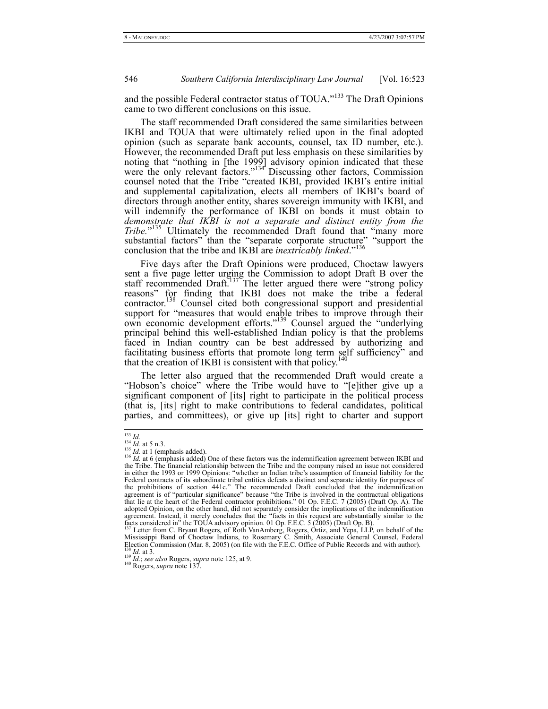and the possible Federal contractor status of TOUA."<sup>133</sup> The Draft Opinions came to two different conclusions on this issue.

The staff recommended Draft considered the same similarities between IKBI and TOUA that were ultimately relied upon in the final adopted opinion (such as separate bank accounts, counsel, tax ID number, etc.). However, the recommended Draft put less emphasis on these similarities by noting that "nothing in [the 1999] advisory opinion indicated that these were the only relevant factors."<sup>134</sup> Discussing other factors, Commission counsel noted that the Tribe "created IKBI, provided IKBI's entire initial and supplemental capitalization, elects all members of IKBI's board of directors through another entity, shares sovereign immunity with IKBI, and will indemnify the performance of IKBI on bonds it must obtain to *demonstrate that IKBI is not a separate and distinct entity from the Tribe.*" 135 Ultimately the recommended Draft found that "many more substantial factors" than the "separate corporate structure" "support the conclusion that the tribe and IKBI are *inextricably linked*."<sup>136</sup>

Five days after the Draft Opinions were produced, Choctaw lawyers sent a five page letter urging the Commission to adopt Draft B over the staff recommended Draft.<sup>137</sup> The letter argued there were "strong policy reasons" for finding that IKBI does not make the tribe a federal contractor.<sup>138</sup> Counsel cited both congressional support and presidential support for "measures that would enable tribes to improve through their own economic development efforts."<sup>139</sup> Counsel argued the "underlying principal behind this well-established Indian policy is that the problems faced in Indian country can be best addressed by authorizing and facilitating business efforts that promote long term self sufficiency" and that the creation of IKBI is consistent with that policy.<sup>140</sup>

The letter also argued that the recommended Draft would create a "Hobson's choice" where the Tribe would have to "[e]ither give up a significant component of [its] right to participate in the political process (that is, [its] right to make contributions to federal candidates, political parties, and committees), or give up [its] right to charter and support

<sup>&</sup>lt;sup>133</sup> *Id.*<br><sup>134</sup> *Id.* at 5 n.3.<br><sup>135</sup> *Id.* at 1 (emphasis added).<br><sup>136</sup> *Id.* at 6 (emphasis added) One of these factors was the indemnification agreement between IKBI and<br>the Tribe. The financial relationship between in either the 1993 or 1999 Opinions: "whether an Indian tribe's assumption of financial liability for the Federal contracts of its subordinate tribal entities defeats a distinct and separate identity for purposes of the prohibitions of section 441c." The recommended Draft concluded that the indemnification agreement is of "particular significance" because "the Tribe is involved in the contractual obligations that lie at the heart of the Federal contractor prohibitions." 01 Op. F.E.C. 7 (2005) (Draft Op. A). The adopted Opinion, on the other hand, did not separately consider the implications of the indemnification agreement. Instead, it merely concludes that the "facts in this request are substantially similar to the facts considered in" the TOUA advisory opinion. 01 Op. F.E.C. 5 (2005) (Draft Op. B).<br><sup>137</sup> Letter from C. Bryant Rog

Mississippi Band of Choctaw Indians, to Rosemary C. Smith, Associate General Counsel, Federal 138 *Id.* at 3.<br>Election Commission (Mar. 8, 2005) (on file with the F.E.C. Office of Public Records and with author).<br><sup>138</sup> *I*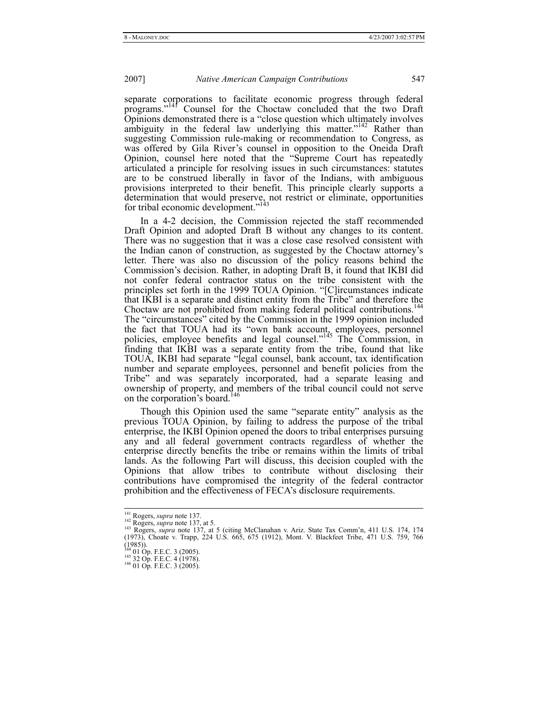separate corporations to facilitate economic progress through federal programs."141 Counsel for the Choctaw concluded that the two Draft Opinions demonstrated there is a "close question which ultimately involves ambiguity in the federal law underlying this matter."<sup>142</sup> Rather than suggesting Commission rule-making or recommendation to Congress, as was offered by Gila River's counsel in opposition to the Oneida Draft Opinion, counsel here noted that the "Supreme Court has repeatedly articulated a principle for resolving issues in such circumstances: statutes are to be construed liberally in favor of the Indians, with ambiguous provisions interpreted to their benefit. This principle clearly supports a determination that would preserve, not restrict or eliminate, opportunities for tribal economic development."<sup>143</sup>

In a 4-2 decision, the Commission rejected the staff recommended Draft Opinion and adopted Draft B without any changes to its content. There was no suggestion that it was a close case resolved consistent with the Indian canon of construction, as suggested by the Choctaw attorney's letter. There was also no discussion of the policy reasons behind the Commission's decision. Rather, in adopting Draft B, it found that IKBI did not confer federal contractor status on the tribe consistent with the principles set forth in the 1999 TOUA Opinion. "[C]ircumstances indicate that IKBI is a separate and distinct entity from the Tribe" and therefore the Choctaw are not prohibited from making federal political contributions.<sup>1</sup> The "circumstances" cited by the Commission in the 1999 opinion included the fact that TOUA had its "own bank account, employees, personnel policies, employee benefits and legal counsel."145 The Commission, in finding that IKBI was a separate entity from the tribe, found that like TOUA, IKBI had separate "legal counsel, bank account, tax identification number and separate employees, personnel and benefit policies from the Tribe" and was separately incorporated, had a separate leasing and ownership of property, and members of the tribal council could not serve on the corporation's board.<sup>146</sup>

Though this Opinion used the same "separate entity" analysis as the previous TOUA Opinion, by failing to address the purpose of the tribal enterprise, the IKBI Opinion opened the doors to tribal enterprises pursuing any and all federal government contracts regardless of whether the enterprise directly benefits the tribe or remains within the limits of tribal lands. As the following Part will discuss, this decision coupled with the Opinions that allow tribes to contribute without disclosing their contributions have compromised the integrity of the federal contractor prohibition and the effectiveness of FECA's disclosure requirements.

<sup>&</sup>lt;sup>141</sup> Rogers, *supra* note 137.<br><sup>142</sup> Rogers, *supra* note 137, at 5.<br><sup>143</sup> Rogers, *supra* note 137, at 5 (citing McClanahan v. Ariz. State Tax Comm'n, 411 U.S. 174, 174 (1973), Choate v. Trapp, 224 U.S. 665, 675 (1912), Mont. V. Blackfeet Tribe, 471 U.S. 759, 766 (1985)).<br><sup>144</sup> 01 Op. F.E.C. 3 (2005).<br><sup>145</sup> 32 Op. F.E.C. 4 (1978).<br><sup>146</sup> 01 Op. F.E.C. 3 (2005).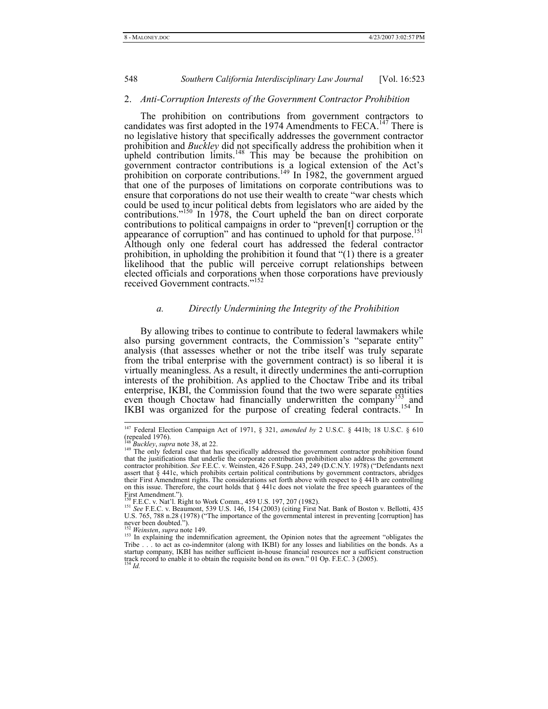#### 2. *Anti-Corruption Interests of the Government Contractor Prohibition*

The prohibition on contributions from government contractors to candidates was first adopted in the 1974 Amendments to FECA.<sup>147</sup> There is no legislative history that specifically addresses the government contractor prohibition and *Buckley* did not specifically address the prohibition when it upheld contribution limits.<sup>148</sup> This may be because the prohibition on government contractor contributions is a logical extension of the Act's prohibition on corporate contributions.<sup>149</sup> In 1982, the government argued that one of the purposes of limitations on corporate contributions was to ensure that corporations do not use their wealth to create "war chests which could be used to incur political debts from legislators who are aided by the contributions."<sup>150</sup> In 1978, the Court upheld the ban on direct corporate contributions to political campaigns in order to "preven[t] corruption or the appearance of corruption" and has continued to uphold for that purpose.<sup>151</sup> Although only one federal court has addressed the federal contractor prohibition, in upholding the prohibition it found that "(1) there is a greater likelihood that the public will perceive corrupt relationships between elected officials and corporations when those corporations have previously received Government contracts."152

#### *a. Directly Undermining the Integrity of the Prohibition*

By allowing tribes to continue to contribute to federal lawmakers while also pursing government contracts, the Commission's "separate entity" analysis (that assesses whether or not the tribe itself was truly separate from the tribal enterprise with the government contract) is so liberal it is virtually meaningless. As a result, it directly undermines the anti-corruption interests of the prohibition. As applied to the Choctaw Tribe and its tribal enterprise, IKBI, the Commission found that the two were separate entities even though Choctaw had financially underwritten the company<sup>153</sup> and IKBI was organized for the purpose of creating federal contracts.<sup>154</sup> In

 <sup>147</sup> Federal Election Campaign Act of 1971, § 321, *amended by* 2 U.S.C. § 441b; 18 U.S.C. § 610 (repealed 1976).  $r^{148}$  Buckley, supra note 38, at 22.

<sup>&</sup>lt;sup>149</sup> The only federal case that has specifically addressed the government contractor prohibition found that the justifications that underlie the corporate contribution prohibition also address the government contractor prohibition. *See* F.E.C. v. Weinsten, 426 F.Supp. 243, 249 (D.C.N.Y. 1978) ("Defendants next assert that § 441c, which prohibits certain political contributions by government contractors, abridges their First Amendment rights. The considerations set forth above with respect to § 441b are controlling on this issue. Therefore, the court holds that § 441c does not violate the free speech guarantees of the First Amendment.").

<sup>150</sup> F.E.C. v. Nat'l. Right to Work Comm., 459 U.S. 197, 207 (1982).<br><sup>151</sup> *See* F.E.C. v. Beaumont, 539 U.S. 146, 154 (2003) (citing First Nat. Bank of Boston v. Bellotti, 435 U.S. 765, 788 n.28 (1978) ("The importance of the governmental interest in preventing [corruption] has never been doubted.").<br> $^{152}$  *Weinsten, supra* note 149.

<sup>&</sup>lt;sup>153</sup> In explaining the indemnification agreement, the Opinion notes that the agreement "obligates the Tribe . . . to act as co-indemnitor (along with IKBI) for any losses and liabilities on the bonds. As a startup company, IKBI has neither sufficient in-house financial resources nor a sufficient construction track record to enable it to obtain the requisite bond on its own." 01 Op. F.E.C. 3 (2005). <sup>154</sup> *Id.*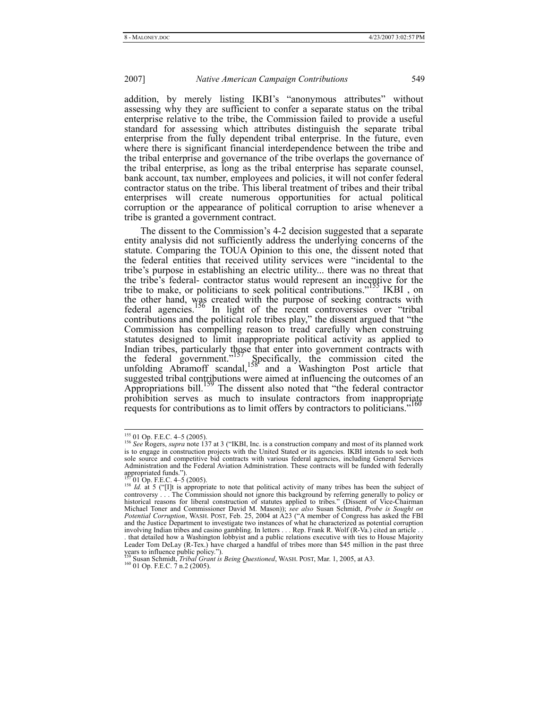addition, by merely listing IKBI's "anonymous attributes" without assessing why they are sufficient to confer a separate status on the tribal enterprise relative to the tribe, the Commission failed to provide a useful standard for assessing which attributes distinguish the separate tribal enterprise from the fully dependent tribal enterprise. In the future, even where there is significant financial interdependence between the tribe and the tribal enterprise and governance of the tribe overlaps the governance of the tribal enterprise, as long as the tribal enterprise has separate counsel, bank account, tax number, employees and policies, it will not confer federal contractor status on the tribe. This liberal treatment of tribes and their tribal enterprises will create numerous opportunities for actual political corruption or the appearance of political corruption to arise whenever a tribe is granted a government contract.

The dissent to the Commission's 4-2 decision suggested that a separate entity analysis did not sufficiently address the underlying concerns of the statute. Comparing the TOUA Opinion to this one, the dissent noted that the federal entities that received utility services were "incidental to the tribe's purpose in establishing an electric utility... there was no threat that the tribe's federal- contractor status would represent an incentive for the tribe to make, or politicians to seek political contributions."<sup>155</sup> IKBI, on the other hand, was created with the purpose of seeking contracts with federal agencies.<sup>156</sup> In light of the recent controversies over "tribal" contributions and the political role tribes play," the dissent argued that "the Commission has compelling reason to tread carefully when construing statutes designed to limit inappropriate political activity as applied to Indian tribes, particularly those that enter into government contracts with the federal government."<sup>157</sup> Specifically, the commission cited the unfolding Abramoff scandal,  $158$  and a Washington Post article that suggested tribal contributions were aimed at influencing the outcomes of an Appropriations bill.<sup>159</sup> The dissent also noted that "the federal contractor" prohibition serves as much to insulate contractors from inappropriate requests for contributions as to limit offers by contractors to politicians."

<sup>&</sup>lt;sup>155</sup> 01 Op. F.E.C. 4–5 (2005).<br><sup>156</sup> *See* Rogers, *supra* note 137 at 3 ("IKBI, Inc. is a construction company and most of its planned work is to engage in construction projects with the United Stated or its agencies. IKBI intends to seek both sole source and competitive bid contracts with various federal agencies, including General Services Administration and the Federal Aviation Administration. These contracts will be funded with federally appropriated funds.").<br> $15701$  Op. F.E.C.  $4-5(2005)$ .

<sup>&</sup>lt;sup>158</sup> *Id.* at 5 ("[I]t is appropriate to note that political activity of many tribes has been the subject of controversy . . . The Commission should not ignore this background by referring generally to policy or historical reasons for liberal construction of statutes applied to tribes." (Dissent of Vice-Chairman Michael Toner and Commissioner David M. Mason)); *see also* Susan Schmidt, *Probe is Sought on Potential Corruption*, WASH. POST, Feb. 25, 2004 at A23 ("A member of Congress has asked the FBI and the Justice Department to investigate two instances of what he characterized as potential corruption involving Indian tribes and casino gambling. In letters . . . Rep. Frank R. Wolf (R-Va.) cited an article . . . that detailed how a Washington lobbyist and a public relations executive with ties to House Majority Leader Tom DeLay (R-Tex.) have charged a handful of tribes more than \$45 million in the past three years to influence public policy.").

<sup>&</sup>lt;sup>159</sup> Susan Schmidt, *Tribal Grant is Being Questioned*, WASH. POST, Mar. 1, 2005, at A3. <sup>160</sup> 01 Op. F.E.C. 7 n.2 (2005).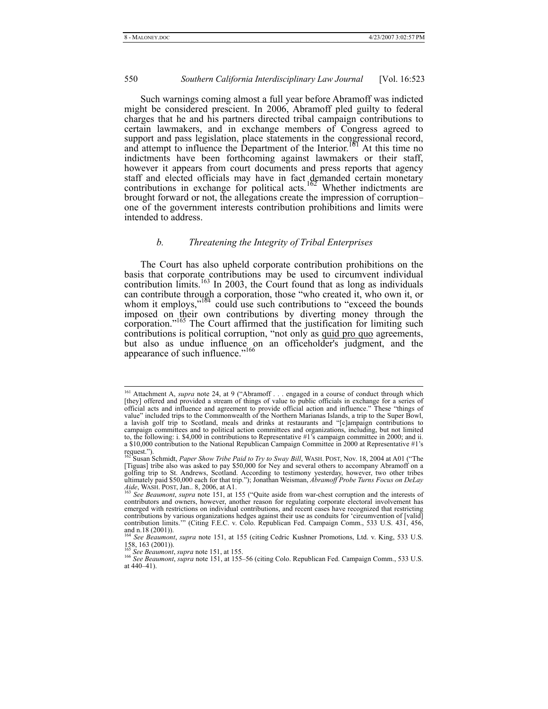Such warnings coming almost a full year before Abramoff was indicted might be considered prescient. In 2006, Abramoff pled guilty to federal charges that he and his partners directed tribal campaign contributions to certain lawmakers, and in exchange members of Congress agreed to support and pass legislation, place statements in the congressional record, and attempt to influence the Department of the Interior.<sup>101</sup> At this time no indictments have been forthcoming against lawmakers or their staff, however it appears from court documents and press reports that agency staff and elected officials may have in fact demanded certain monetary contributions in exchange for political acts.<sup>162</sup> Whether indictments are brought forward or not, the allegations create the impression of corruption– one of the government interests contribution prohibitions and limits were intended to address.

#### *b. Threatening the Integrity of Tribal Enterprises*

The Court has also upheld corporate contribution prohibitions on the basis that corporate contributions may be used to circumvent individual contribution limits.<sup>163</sup> In 2003, the Court found that as long as individuals can contribute through a corporation, those "who created it, who own it, or whom it employs," $164$  could use such contributions to "exceed the bounds" imposed on their own contributions by diverting money through the corporation."<sup>165</sup> The Court affirmed that the justification for limiting such contributions is political corruption, "not only as quid pro quo agreements, but also as undue influence on an officeholder's judgment, and the appearance of such influence."<sup>166</sup>

<sup>&</sup>lt;sup>161</sup> Attachment A, *supra* note 24, at 9 ("Abramoff . . . engaged in a course of conduct through which [they] offered and provided a stream of things of value to public officials in exchange for a series of official acts and influence and agreement to provide official action and influence." These "things of value" included trips to the Commonwealth of the Northern Marianas Islands, a trip to the Super Bowl, a lavish golf trip to Scotland, meals and drinks at restaurants and "[c]ampaign contributions to campaign committees and to political action committees and organizations, including, but not limited to, the following: i. \$4,000 in contributions to Representative #1's campaign committee in 2000; and ii. a \$10,000 contribution to the National Republican Campaign Committee in 2000 at Representative #1's request.").

<sup>162</sup> Susan Schmidt, *Paper Show Tribe Paid to Try to Sway Bill*, WASH. POST, Nov. 18, 2004 at A01 ("The [Tiguas] tribe also was asked to pay \$50,000 for Ney and several others to accompany Abramoff on a golfing trip to St. Andrews, Scotland. According to testimony yesterday, however, two other tribes ultimately paid \$50,000 each for that trip."); Jonathan Weisman, *Abramoff Probe Turns Focus on DeLay Aide*, WASH. POST, Jan.. 8, 2006, at A1. 163 *See Beaumont*, *supra* note 151, at 155 ("Quite aside from war-chest corruption and the interests of

contributors and owners, however, another reason for regulating corporate electoral involvement has emerged with restrictions on individual contributions, and recent cases have recognized that restricting contributions by various organizations hedges against their use as conduits for 'circumvention of [valid] contribution limits.'" (Citing F.E.C. v. Colo. Republican Fed. Campaign Comm., 533 U.S. 431, 456, and n.18 (2001)). <sup>164</sup> *See Beaumont*, *supra* note 151, at 155 (citing Cedric Kushner Promotions, Ltd. v. King, 533 U.S.

<sup>158, 163 (2001)).&</sup>lt;br> $\frac{165}{165}$  See Beaumont, supra note 151, at 155.

<sup>&</sup>lt;sup>166</sup> See Beaumont, *supra* note 151, at 155–56 (citing Colo. Republican Fed. Campaign Comm., 533 U.S. at 440–41).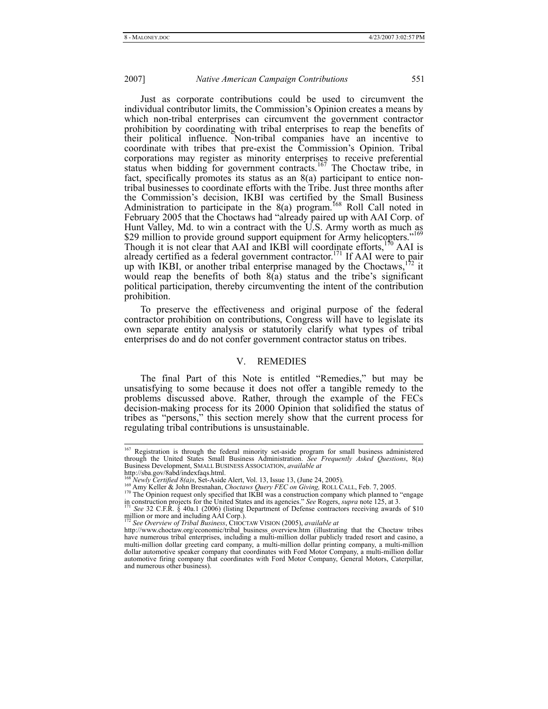Just as corporate contributions could be used to circumvent the individual contributor limits, the Commission's Opinion creates a means by which non-tribal enterprises can circumvent the government contractor prohibition by coordinating with tribal enterprises to reap the benefits of their political influence. Non-tribal companies have an incentive to coordinate with tribes that pre-exist the Commission's Opinion. Tribal corporations may register as minority enterprises to receive preferential status when bidding for government contracts.<sup>167</sup> The Choctaw tribe, in fact, specifically promotes its status as an 8(a) participant to entice nontribal businesses to coordinate efforts with the Tribe. Just three months after the Commission's decision, IKBI was certified by the Small Business Administration to participate in the  $8(a)$  program.<sup>168</sup> Roll Call noted in February 2005 that the Choctaws had "already paired up with AAI Corp. of Hunt Valley, Md. to win a contract with the U.S. Army worth as much as \$29 million to provide ground support equipment for Army helicopters."<sup>169</sup> Though it is not clear that AAI and IKBI will coordinate efforts, $170$  AAI is already certified as a federal government contractor.<sup>171</sup> If AAI were to pair up with IKBI, or another tribal enterprise managed by the Choctaws,  $172$  it would reap the benefits of both  $8(a)$  status and the tribe's significant political participation, thereby circumventing the intent of the contribution prohibition.

To preserve the effectiveness and original purpose of the federal contractor prohibition on contributions, Congress will have to legislate its own separate entity analysis or statutorily clarify what types of tribal enterprises do and do not confer government contractor status on tribes.

#### V. REMEDIES

The final Part of this Note is entitled "Remedies," but may be unsatisfying to some because it does not offer a tangible remedy to the problems discussed above. Rather, through the example of the FECs decision-making process for its 2000 Opinion that solidified the status of tribes as "persons," this section merely show that the current process for regulating tribal contributions is unsustainable.

<sup>&</sup>lt;sup>167</sup> Registration is through the federal minority set-aside program for small business administered through the United States Small Business Administration. *See Frequently Asked Questions*, 8(a) Business Development, SMALL BUSINESS ASSOCIATION, *available at* http://sba.gov/8abd/indexfaqs.html.<br><sup>168</sup> Newly Certified 8(a)s, Set-Aside Alert, Vol. 13, Issue 13, (June 24, 2005).

<sup>169</sup> Amy Keller & John Bresnahan, Choctaws Query FEC on Giving, ROLL CALL, Feb. 7, 2005.<br><sup>170</sup> The Opinion request only specified that IKBI was a construction company which planned to "engage" in construction projects for the United States and its agencies." *See* Rogers, *supra* note 125, at 3.<br><sup>171</sup> *See* 32 C.F.R. § 40a.1 (2006) (listing Department of Defense contractors receiving awards of \$10

million or more and including  $\overrightarrow{AAI}$  Corp.).

<sup>172</sup> *See Overview of Tribal Business*, CHOCTAW VISION (2005), *available at*

http://www.choctaw.org/economic/tribal\_business\_overview.htm (illustrating that the Choctaw tribes have numerous tribal enterprises, including a multi-million dollar publicly traded resort and casino, a multi-million dollar greeting card company, a multi-million dollar printing company, a multi-million dollar automotive speaker company that coordinates with Ford Motor Company, a multi-million dollar automotive firing company that coordinates with Ford Motor Company, General Motors, Caterpillar, and numerous other business).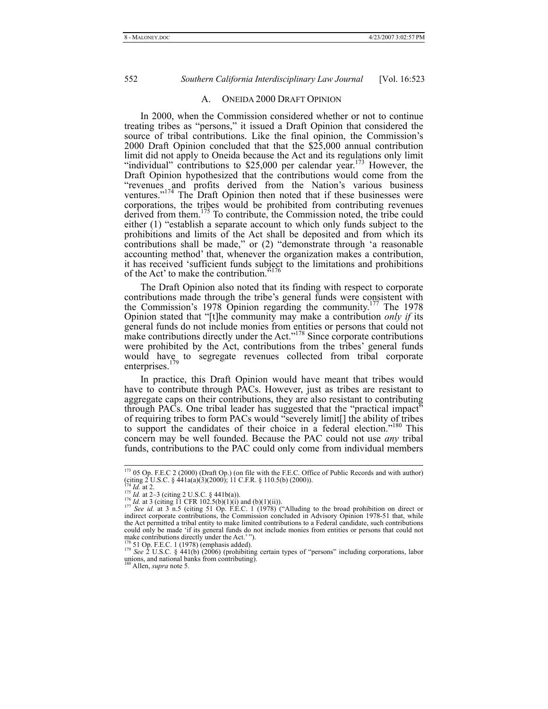#### A. ONEIDA 2000 DRAFT OPINION

In 2000, when the Commission considered whether or not to continue treating tribes as "persons," it issued a Draft Opinion that considered the source of tribal contributions. Like the final opinion, the Commission's 2000 Draft Opinion concluded that that the \$25,000 annual contribution limit did not apply to Oneida because the Act and its regulations only limit "individual" contributions to \$25,000 per calendar year.<sup>173</sup> However, the Draft Opinion hypothesized that the contributions would come from the "revenues and profits derived from the Nation's various business ventures."<sup>174</sup> The Draft Opinion then noted that if these businesses were corporations, the tribes would be prohibited from contributing revenues derived from them.<sup>175</sup> To contribute, the Commission noted, the tribe could either (1) "establish a separate account to which only funds subject to the prohibitions and limits of the Act shall be deposited and from which its contributions shall be made," or (2) "demonstrate through 'a reasonable accounting method' that, whenever the organization makes a contribution, it has received 'sufficient funds subject to the limitations and prohibitions of the Act' to make the contribution.

The Draft Opinion also noted that its finding with respect to corporate contributions made through the tribe's general funds were consistent with the Commission's 1978 Opinion regarding the community.<sup>177</sup> The 1978 Opinion stated that "[t]he community may make a contribution *only if* its general funds do not include monies from entities or persons that could not make contributions directly under the Act.<sup> $178$ </sup> Since corporate contributions were prohibited by the Act, contributions from the tribes' general funds would have to segregate revenues collected from tribal corporate enterprises.<sup>179</sup>

In practice, this Draft Opinion would have meant that tribes would have to contribute through PACs. However, just as tribes are resistant to aggregate caps on their contributions, they are also resistant to contributing through PACs. One tribal leader has suggested that the "practical impact" of requiring tribes to form PACs would "severely limit[] the ability of tribes to support the candidates of their choice in a federal election."<sup>180</sup> This concern may be well founded. Because the PAC could not use *any* tribal funds, contributions to the PAC could only come from individual members

 <sup>173 05</sup> Op. F.E.C 2 (2000) (Draft Op.) (on file with the F.E.C. Office of Public Records and with author) (citing 2 U.S.C. §  $\lambda$ 41a(a)(3)(2000); 11 C.F.R. § 110.5(b) (2000)).

<sup>&</sup>lt;sup>174</sup> *Id.* at 2.<br><sup>175</sup> *Id.* at 2–3 (citing 2 U.S.C. § 441b(a)).<br><sup>176</sup> *Id.* at 3 (citing 11 CFR 102.5(b)(1)(i) and (b)(1)(ii)).<br><sup>176</sup> *See id.* at 3 n.5 (citing 51 Op. F.E.C. 1 (1978) ("Alluding to the broad prohibition indirect corporate contributions, the Commission concluded in Advisory Opinion 1978-51 that, while the Act permitted a tribal entity to make limited contributions to a Federal candidate, such contributions could only be made 'if its general funds do not include monies from entities or persons that could not make contributions directly under the Act.' ").

<sup>178 51</sup> Op. F.E.C. 1 (1978) (emphasis added). <sup>179</sup> *See* 2 U.S.C. § 441(b) (2006) (prohibiting certain types of "persons" including corporations, labor unions, and national banks from contributing). 180 Allen, *supra* note 5.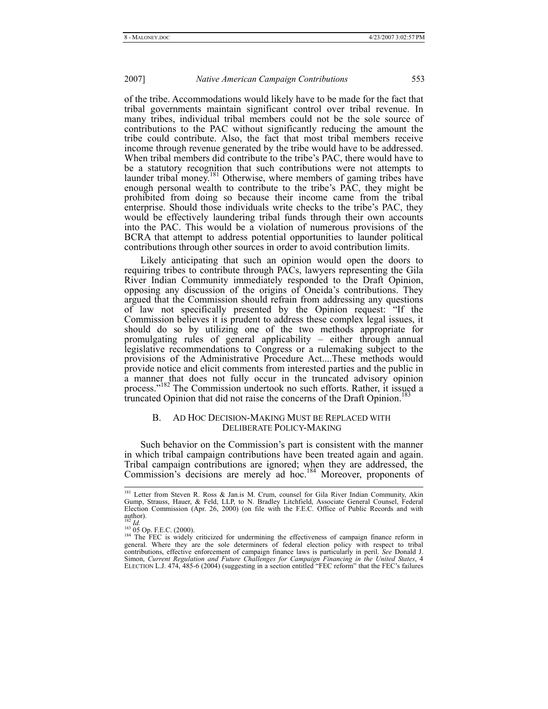of the tribe. Accommodations would likely have to be made for the fact that tribal governments maintain significant control over tribal revenue. In many tribes, individual tribal members could not be the sole source of contributions to the PAC without significantly reducing the amount the tribe could contribute. Also, the fact that most tribal members receive income through revenue generated by the tribe would have to be addressed. When tribal members did contribute to the tribe's PAC, there would have to be a statutory recognition that such contributions were not attempts to launder tribal money.<sup>181</sup> Otherwise, where members of gaming tribes have enough personal wealth to contribute to the tribe's PAC, they might be prohibited from doing so because their income came from the tribal enterprise. Should those individuals write checks to the tribe's PAC, they would be effectively laundering tribal funds through their own accounts into the PAC. This would be a violation of numerous provisions of the BCRA that attempt to address potential opportunities to launder political contributions through other sources in order to avoid contribution limits.

Likely anticipating that such an opinion would open the doors to requiring tribes to contribute through PACs, lawyers representing the Gila River Indian Community immediately responded to the Draft Opinion, opposing any discussion of the origins of Oneida's contributions. They argued that the Commission should refrain from addressing any questions of law not specifically presented by the Opinion request: "If the Commission believes it is prudent to address these complex legal issues, it should do so by utilizing one of the two methods appropriate for promulgating rules of general applicability – either through annual legislative recommendations to Congress or a rulemaking subject to the provisions of the Administrative Procedure Act....These methods would provide notice and elicit comments from interested parties and the public in a manner that does not fully occur in the truncated advisory opinion process." $182$  The Commission undertook no such efforts. Rather, it issued a truncated Opinion that did not raise the concerns of the Draft Opinion.<sup>1</sup>

## B. AD HOC DECISION-MAKING MUST BE REPLACED WITH DELIBERATE POLICY-MAKING

Such behavior on the Commission's part is consistent with the manner in which tribal campaign contributions have been treated again and again. Tribal campaign contributions are ignored; when they are addressed, the Commission's decisions are merely ad hoc.184 Moreover, proponents of

<sup>&</sup>lt;sup>181</sup> Letter from Steven R. Ross & Jan.is M. Crum, counsel for Gila River Indian Community, Akin Gump, Strauss, Hauer, & Feld, LLP, to N. Bradley Litchfield, Associate General Counsel, Federal Election Commission (Apr. 26, 2000) (on file with the F.E.C. Office of Public Records and with author).<br> $^{182}$  *Id.* 

<sup>&</sup>lt;sup>183</sup> 05 Op. F.E.C. (2000).<br><sup>184</sup> The FEC is widely criticized for undermining the effectiveness of campaign finance reform in general. Where they are the sole determiners of federal election policy with respect to tribal contributions, effective enforcement of campaign finance laws is particularly in peril. *See* Donald J. Simon, *Current Regulation and Future Challenges for Campaign Financing in the United States*, 4 ELECTION L.J. 474, 485-6 (2004) (suggesting in a section entitled "FEC reform" that the FEC's failures